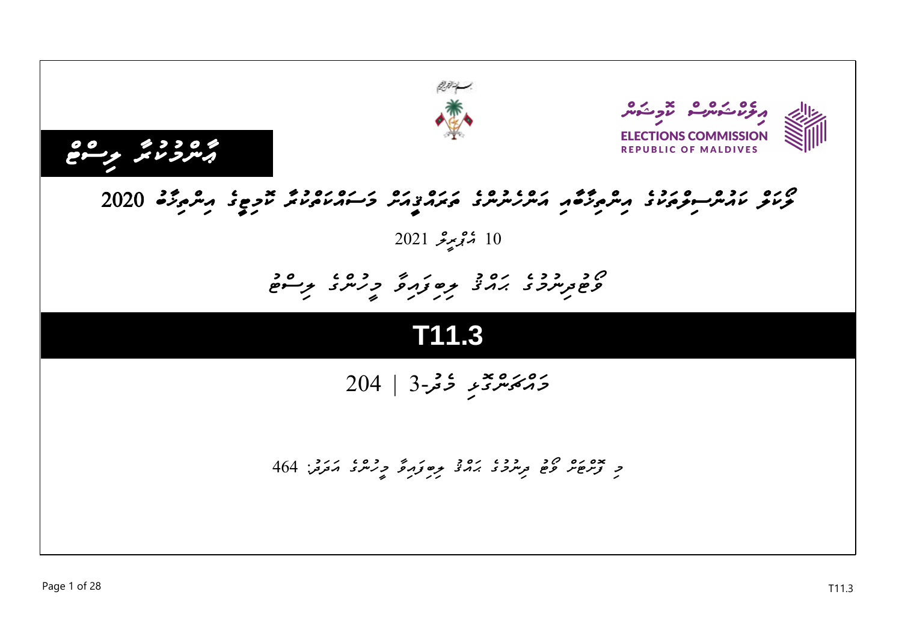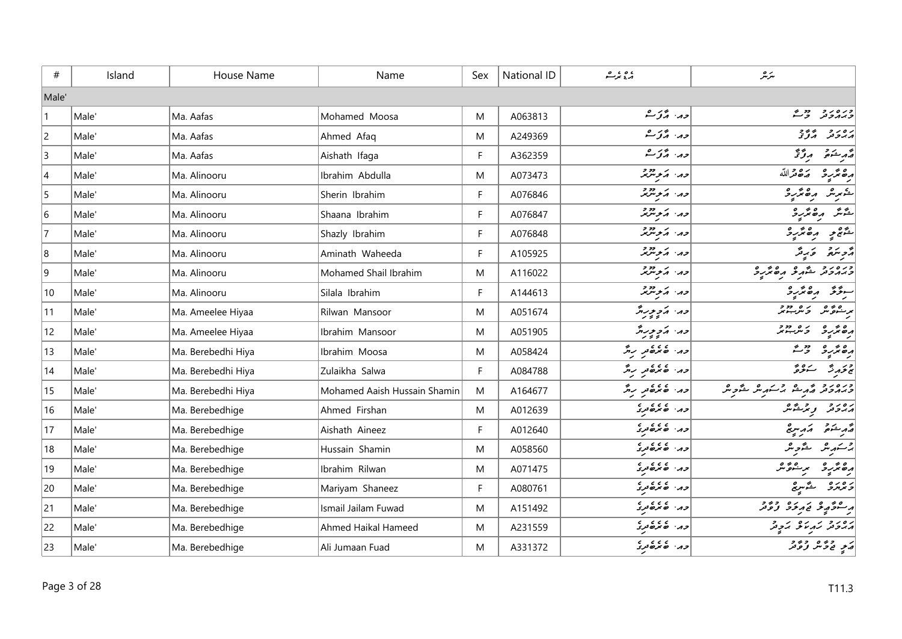| #              | Island | House Name         | Name                         | Sex       | National ID | ، ه ، ره<br>مربح ترت                                                    | ىئرىتر                              |
|----------------|--------|--------------------|------------------------------|-----------|-------------|-------------------------------------------------------------------------|-------------------------------------|
| Male'          |        |                    |                              |           |             |                                                                         |                                     |
|                | Male'  | Ma. Aafas          | Mohamed Moosa                | M         | A063813     | دە. ئۇزىش                                                               | ورەرو دور                           |
| 2              | Male'  | Ma. Aafas          | Ahmed Afaq                   | M         | A249369     | دە. ئۇزشە                                                               | ره رو ووو<br>(پروتر پروتر           |
| $\vert$ 3      | Male'  | Ma. Aafas          | Aishath Ifaga                | F         | A362359     | دە. ئۇزى                                                                | أمر المستوفي المستوفي               |
| $\overline{4}$ | Male'  | Ma. Alinooru       | Ibrahim Abdulla              | M         | A073473     | בו ה' ביישב                                                             | مەھەمگە ئەھەممەللە                  |
| $\overline{5}$ | Male'  | Ma. Alinooru       | Sherin Ibrahim               | F         | A076846     | בו. ה'בְיית                                                             | شهرش رەپرىرد                        |
| $\overline{6}$ | Male'  | Ma. Alinooru       | Shaana Ibrahim               | F         | A076847     | בו. ה' <i>קייליק</i>                                                    | شَرْشَ رەمَزىر                      |
| $\vert$ 7      | Male'  | Ma. Alinooru       | Shazly Ibrahim               | F         | A076848     | בו. ה'ביינה                                                             | شوء پر مورد                         |
| 8              | Male'  | Ma. Alinooru       | Aminath Waheeda              | F         | A105925     | בו ה' קיידיק                                                            | أأدوسكم وكالمحمد                    |
| $ 9\rangle$    | Male'  | Ma. Alinooru       | Mohamed Shail Ibrahim        | ${\sf M}$ | A116022     | כו <i>י ה'קייתי</i>                                                     | ورەرو شەرى مەھرىرى                  |
| 10             | Male'  | Ma. Alinooru       | Silala Ibrahim               | F         | A144613     | در بر دید                                                               | سوقە رەقتەپە                        |
| 11             | Male'  | Ma. Ameelee Hiyaa  | Rilwan Mansoor               | M         | A051674     | در نوپورته                                                              | برشو <i>نگار ده دو</i> ر            |
| 12             | Male'  | Ma. Ameelee Hiyaa  | Ibrahim Mansoor              | M         | A051905     | در ۱۰ م <i>ز پور</i> مز                                                 | دە ئەرە بەر دور<br>بەھ ئەرە بەر دور |
| 13             | Male'  | Ma. Berebedhi Hiya | Ibrahim Moosa                | M         | A058424     |                                                                         | أرەندىي دىم                         |
| 14             | Male'  | Ma. Berebedhi Hiya | Zulaikha Salwa               | F         | A084788     | כתי סיתסת תות                                                           | ج ترور شوده.                        |
| 15             | Male'  | Ma. Berebedhi Hiya | Mohamed Aaish Hussain Shamin | M         | A164677     | כתי סיתיסת תות                                                          | ورەرو مەرھ بولى بالسكر سى مەر       |
| 16             | Male'  | Ma. Berebedhige    | Ahmed Firshan                | M         | A012639     |                                                                         | أرور وبريشه                         |
| 17             | Male'  | Ma. Berebedhige    | Aishath Aineez               | F         | A012640     | בגי הובה היה הי                                                         |                                     |
| 18             | Male'  | Ma. Berebedhige    | Hussain Shamin               | M         | A058560     | כתי סיתים <sub>בק</sub> ב<br>כתי סיתים ב <sub>ק</sub> ב                 | 2سىرىش ھۇرىش                        |
| 19             | Male'  | Ma. Berebedhige    | Ibrahim Rilwan               | M         | A071475     | בגי הובה היה הי                                                         | رە ئۆر ئىستوگىر                     |
| 20             | Male'  | Ma. Berebedhige    | Mariyam Shaneez              | F         | A080761     | $rac{1}{2}$ $rac{1}{2}$ $rac{1}{2}$ $rac{1}{2}$ $rac{1}{2}$ $rac{1}{2}$ |                                     |
| 21             | Male'  | Ma. Berebedhige    | Ismail Jailam Fuwad          | M         | A151492     | <br> כו <i>ז</i> י שיתים <sub>ע</sub> צ                                 | أرعوهم والمرود ووود                 |
| 22             | Male'  | Ma. Berebedhige    | <b>Ahmed Haikal Hameed</b>   | M         | A231559     | בוגי שימשית ב                                                           | أرود و زرع تادو                     |
| 23             | Male'  | Ma. Berebedhige    | Ali Jumaan Fuad              | M         | A331372     | ده زه ده دره<br>ده زه ده درد                                            | پر په دولو د ولو د                  |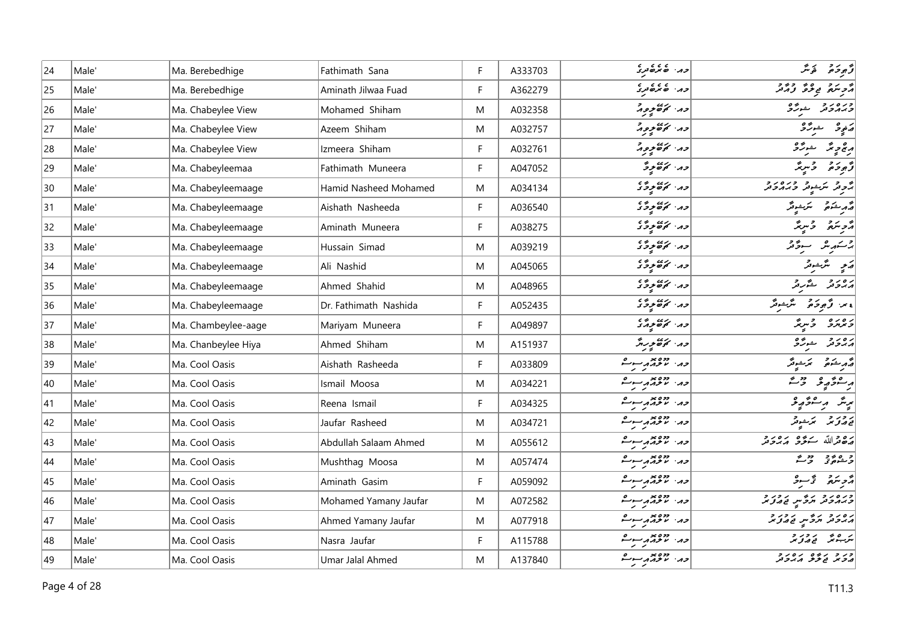| Male' | Ma. Berebedhige     | Fathimath Sana        | F         | A333703 | ے بے دے<br>وہ مصر مرد                                       | قەددە ئەنگە                                                                                                                                                                                                                                                                                                                                                                                                     |
|-------|---------------------|-----------------------|-----------|---------|-------------------------------------------------------------|-----------------------------------------------------------------------------------------------------------------------------------------------------------------------------------------------------------------------------------------------------------------------------------------------------------------------------------------------------------------------------------------------------------------|
| Male' | Ma. Berebedhige     | Aminath Jilwaa Fuad   | F         | A362279 | ح د سي ځ ده کړي<br>ح د سي ځ ه کړي                           | أأدبتهم ويحق وود                                                                                                                                                                                                                                                                                                                                                                                                |
| Male' | Ma. Chabeylee View  | Mohamed Shiham        | M         | A032358 | در کاهم دور                                                 | ورەرو جوڭرو                                                                                                                                                                                                                                                                                                                                                                                                     |
| Male' | Ma. Chabeylee View  | Azeem Shiham          | M         | A032757 | در کاهموه د                                                 | أركم في المستورجة والمحمدة والمحمدة والمحمدة المتواريحية والمحمدة المنافسة والمحمدة والمحمدة والمحمدة والمحمدة<br>المحمدة المحمدة المحمدة المحمدة والمحمدة والمحمدة والمحمدة والمحمدة والمحمدة والمحمدة والمحمدة والمحمدة والمحم                                                                                                                                                                                |
| Male' | Ma. Chabeylee View  | Izmeera Shiham        | F         | A032761 | وړ٠ کوکامووړ<br>در٠ کوکامووړ                                | ەج چە ئىشىر كەن<br>مەنبە ئەسىر                                                                                                                                                                                                                                                                                                                                                                                  |
| Male' | Ma. Chabeyleemaa    | Fathimath Muneera     | F         | A047052 | $5506 - 12$                                                 | ۇپروڭر دېپىگە                                                                                                                                                                                                                                                                                                                                                                                                   |
| Male' | Ma. Chabeyleemaage  | Hamid Nasheed Mohamed | M         | A034134 | בו. זמיל בי                                                 | גציק האייניק צייריק                                                                                                                                                                                                                                                                                                                                                                                             |
| Male' | Ma. Chabeyleemaage  | Aishath Nasheeda      | F         | A036540 | وړ٠ کوکامورگ                                                | أوكر مشكاة المستر مكر والمحر                                                                                                                                                                                                                                                                                                                                                                                    |
| Male' | Ma. Chabeyleemaage  | Aminath Muneera       | F         | A038275 | دړ٠ کوکام دی                                                | أأدبتكم وتبرا                                                                                                                                                                                                                                                                                                                                                                                                   |
| Male' | Ma. Chabeyleemaage  | Hussain Simad         | M         | A039219 | وړ٠ کړه و د د                                               | ىز سى <sub>م</sub> رىتر سىر <i>ۇ</i> تر                                                                                                                                                                                                                                                                                                                                                                         |
| Male' | Ma. Chabeyleemaage  | Ali Nashid            | M         | A045065 | בו. ז'ם בבצ                                                 | أوكمني المتكشور                                                                                                                                                                                                                                                                                                                                                                                                 |
| Male' | Ma. Chabeyleemaage  | Ahmed Shahid          | M         | A048965 | دړ٠ کړه د د د                                               | رەر دىگەر                                                                                                                                                                                                                                                                                                                                                                                                       |
| Male' | Ma. Chabeyleemaage  | Dr. Fathimath Nashida | F         | A052435 | وړ٠ کړه و د د                                               | ٤ <i>برا وگهوچهی سرگیون</i> گر                                                                                                                                                                                                                                                                                                                                                                                  |
| Male' | Ma. Chambeylee-aage | Mariyam Muneera       | F         | A049897 | בו יי אדשיבו בי                                             | دەرە ئېرىگە                                                                                                                                                                                                                                                                                                                                                                                                     |
| Male' | Ma. Chanbeylee Hiya | Ahmed Shiham          | M         | A151937 | وړ٠ کوکامور پر<br>در٠ کوکامور پر                            | رەرد ھەرو                                                                                                                                                                                                                                                                                                                                                                                                       |
| Male' | Ma. Cool Oasis      | Aishath Rasheeda      | F         | A033809 | בו ייפה והיה                                                | أمر مشكرة أستكر مكر شير مكر                                                                                                                                                                                                                                                                                                                                                                                     |
| Male' | Ma. Cool Oasis      | Ismail Moosa          | M         | A034221 | 2.722                                                       | بر عرضه و و د                                                                                                                                                                                                                                                                                                                                                                                                   |
| Male' | Ma. Cool Oasis      | Reena Ismail          | F         | A034325 |                                                             | برینگ پرسشو محمد و                                                                                                                                                                                                                                                                                                                                                                                              |
| Male' | Ma. Cool Oasis      | Jaufar Rasheed        | M         | A034721 |                                                             | پرور و سر سر در<br>  این <i>هرف سر</i> سر                                                                                                                                                                                                                                                                                                                                                                       |
| Male' | Ma. Cool Oasis      | Abdullah Salaam Ahmed | M         | A055612 |                                                             | رە داللە كەنزو مەدر                                                                                                                                                                                                                                                                                                                                                                                             |
| Male' | Ma. Cool Oasis      | Mushthag Moosa        | M         | A057474 | בו ישבה ו יים                                               | و مشرق و در م                                                                                                                                                                                                                                                                                                                                                                                                   |
| Male' | Ma. Cool Oasis      | Aminath Gasim         | F         | A059092 | בו. יו בהן הפ                                               | أرمح سنرو المحاسبو                                                                                                                                                                                                                                                                                                                                                                                              |
| Male' | Ma. Cool Oasis      | Mohamed Yamany Jaufar | M         | A072582 | $\mathcal{L}_{\mu} = \mathcal{L}_{\mu} = \mathcal{L}_{\mu}$ | כנסנכ נכתב הכנב                                                                                                                                                                                                                                                                                                                                                                                                 |
| Male' | Ma. Cool Oasis      | Ahmed Yamany Jaufar   | M         | A077918 |                                                             | برور و بروس ق مادر و                                                                                                                                                                                                                                                                                                                                                                                            |
| Male' | Ma. Cool Oasis      | Nasra Jaufar          | F         | A115788 |                                                             | برەپ رەرە                                                                                                                                                                                                                                                                                                                                                                                                       |
| Male' | Ma. Cool Oasis      | Umar Jalal Ahmed      | ${\sf M}$ | A137840 | $\frac{1}{2}$                                               | در د روه ره رد<br>مرس فوگر مهرونر                                                                                                                                                                                                                                                                                                                                                                               |
|       |                     |                       |           |         |                                                             | בגי עברה היה<br>כגי עברה היה<br>$\begin{bmatrix} 0 & 0 & 0 & 0 \\ 0 & 0 & 0 & 0 \\ 0 & 0 & 0 & 0 \\ 0 & 0 & 0 & 0 \\ 0 & 0 & 0 & 0 \\ 0 & 0 & 0 & 0 \\ 0 & 0 & 0 & 0 \\ 0 & 0 & 0 & 0 \\ 0 & 0 & 0 & 0 \\ 0 & 0 & 0 & 0 \\ 0 & 0 & 0 & 0 \\ 0 & 0 & 0 & 0 & 0 \\ 0 & 0 & 0 & 0 & 0 \\ 0 & 0 & 0 & 0 & 0 \\ 0 & 0 & 0 & 0 & 0 \\ 0 & 0 & 0 & 0 & 0 \\ 0 & 0 & $<br>$rac{1}{\sqrt{2}}$<br>$\frac{1}{2}$<br>25.207 |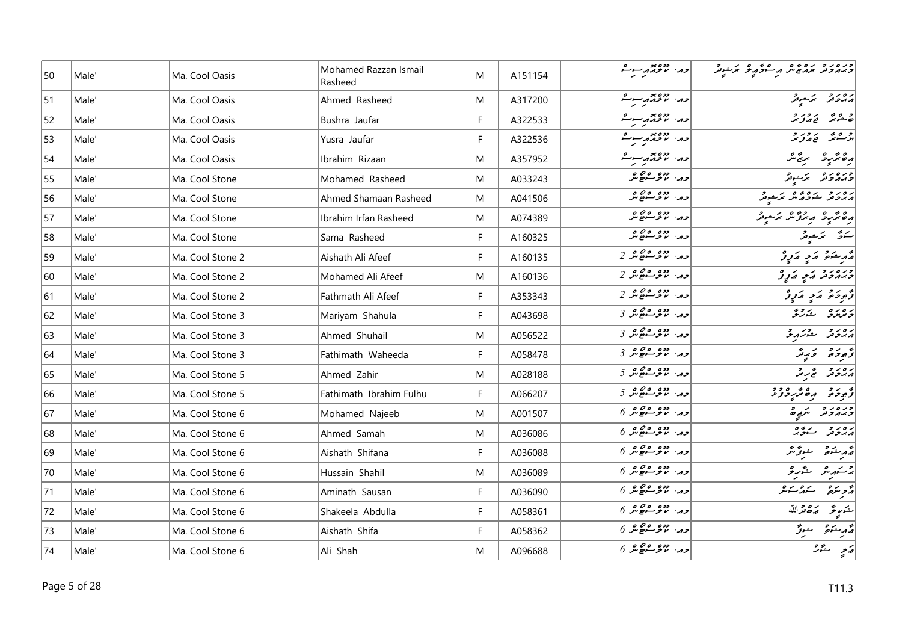| 50 | Male' | Ma. Cool Oasis   | Mohamed Razzan Ismail<br>Rasheed | M | A151154 | $\begin{bmatrix} 0 & x & 0 & 0 \\ 0 & y & 0 & y \end{bmatrix}$                                                                                                                                                                                                                                                                                                                                                          | وره د و ره په مهر مرسور په عرضور    |
|----|-------|------------------|----------------------------------|---|---------|-------------------------------------------------------------------------------------------------------------------------------------------------------------------------------------------------------------------------------------------------------------------------------------------------------------------------------------------------------------------------------------------------------------------------|-------------------------------------|
| 51 | Male' | Ma. Cool Oasis   | Ahmed Rasheed                    | M | A317200 | $rac{1}{\sqrt{1-\frac{1}{1-\frac{1}{1-\frac{1}{1-\frac{1}{1-\frac{1}{1-\frac{1}{1-\frac{1}{1-\frac{1}{1-\frac{1}{1-\frac{1}{1-\frac{1}{1-\frac{1}{1-\frac{1}{1-\frac{1}{1-\frac{1}{1-\frac{1}{1-\frac{1}{1-\frac{1}{1-\frac{1}{1-\frac{1}{1-\frac{1}{1-\frac{1}{1-\frac{1}{1-\frac{1}{1-\frac{1}{1-\frac{1}{1-\frac{1}{1-\frac{1}{1-\frac{1}{1-\frac{1}{1-\frac{1}{1-\frac{1}{1-\frac{1}{1-\frac{1}{1-\frac{1}{1-\frac$ | أبره رح مرشوقر                      |
| 52 | Male' | Ma. Cool Oasis   | Bushra Jaufar                    | F | A322533 | בו יש בהן הפ                                                                                                                                                                                                                                                                                                                                                                                                            | ه ده دره<br>مشتر محمد در            |
| 53 | Male' | Ma. Cool Oasis   | Yusra Jaufar                     | F | A322536 | $\frac{1}{2}$                                                                                                                                                                                                                                                                                                                                                                                                           | و ه پر در د                         |
| 54 | Male' | Ma. Cool Oasis   | Ibrahim Rizaan                   | M | A357952 | ور. نامور مرد سور<br>م                                                                                                                                                                                                                                                                                                                                                                                                  | أرە ئەر ئەس ئىر                     |
| 55 | Male' | Ma. Cool Stone   | Mohamed Rasheed                  | M | A033243 | בו. יצב כל פ                                                                                                                                                                                                                                                                                                                                                                                                            | ورەرو كەنبوتر                       |
| 56 | Male' | Ma. Cool Stone   | Ahmed Shamaan Rasheed            | M | A041506 | <i>دە. بىۋىشۋىت</i> ر                                                                                                                                                                                                                                                                                                                                                                                                   | رەر دەر ئەھلەر ئەسىمى               |
| 57 | Male' | Ma. Cool Stone   | Ibrahim Irfan Rasheed            | M | A074389 | <i>ב</i> ו. יו <sub>בר ש</sub> פשת                                                                                                                                                                                                                                                                                                                                                                                      | رە ئرىر دىمرتىر ترىدىر              |
| 58 | Male' | Ma. Cool Stone   | Sama Rasheed                     | F | A160325 | <i>دە. بىۋىشۋىت</i> ر                                                                                                                                                                                                                                                                                                                                                                                                   | سكافى المرتضوفر                     |
| 59 | Male' | Ma. Cool Stone 2 | Aishath Ali Afeef                | F | A160135 | دە. بۇقىققى <i>تى</i> ر 2                                                                                                                                                                                                                                                                                                                                                                                               | وأرجاء وأوالأميل                    |
| 60 | Male' | Ma. Cool Stone 2 | Mohamed Ali Afeef                | M | A160136 | دە. بۇ مۇسۇھ 2                                                                                                                                                                                                                                                                                                                                                                                                          | כגמכת הז ה'נָצ                      |
| 61 | Male' | Ma. Cool Stone 2 | Fathmath Ali Afeef               | F | A353343 | در . موجود 2 2                                                                                                                                                                                                                                                                                                                                                                                                          | تزود و مرد مرد و                    |
| 62 | Male' | Ma. Cool Stone 3 | Mariyam Shahula                  | F | A043698 | حەر، سۈر قەھ شىر 3                                                                                                                                                                                                                                                                                                                                                                                                      | رەرە خەرىج                          |
| 63 | Male' | Ma. Cool Stone 3 | Ahmed Shuhail                    | M | A056522 | در. بروموه وه د 3                                                                                                                                                                                                                                                                                                                                                                                                       | رەرد ھەر<br>مەرىر ھەرمەن            |
| 64 | Male' | Ma. Cool Stone 3 | Fathimath Waheeda                | F | A058478 | حەر، سۈر قەھ شىر 3                                                                                                                                                                                                                                                                                                                                                                                                      | وتجوحكم الحاسية                     |
| 65 | Male' | Ma. Cool Stone 5 | Ahmed Zahir                      | M | A028188 | در. نوچ هو ماه د                                                                                                                                                                                                                                                                                                                                                                                                        | رەرو پەرىر                          |
| 66 | Male' | Ma. Cool Stone 5 | Fathimath Ibrahim Fulhu          | F | A066207 | دە. بۇقرىقق 5 5                                                                                                                                                                                                                                                                                                                                                                                                         | ژُودَهُ دِهْتُرِدُرُدُ              |
| 67 | Male' | Ma. Cool Stone 6 | Mohamed Najeeb                   | M | A001507 | دە. بۇ يوم ھەر 6                                                                                                                                                                                                                                                                                                                                                                                                        | وره رو گريج ه                       |
| 68 | Male' | Ma. Cool Stone 6 | Ahmed Samah                      | M | A036086 | در. نژو وه ش                                                                                                                                                                                                                                                                                                                                                                                                            | رەر دەر                             |
| 69 | Male' | Ma. Cool Stone 6 | Aishath Shifana                  | F | A036088 | 6.22.27.77                                                                                                                                                                                                                                                                                                                                                                                                              | ۇرمىئە مىرۇش                        |
| 70 | Male' | Ma. Cool Stone 6 | Hussain Shahil                   | M | A036089 | در. نژو وءِ عر                                                                                                                                                                                                                                                                                                                                                                                                          | يز سەر شەر ئە                       |
| 71 | Male' | Ma. Cool Stone 6 | Aminath Sausan                   | F | A036090 | در. نژوم مهم ه                                                                                                                                                                                                                                                                                                                                                                                                          | پ <sup>ر</sup> تر سرچ<br>سەپر ئەيتر |
| 72 | Male' | Ma. Cool Stone 6 | Shakeela Abdulla                 | F | A058361 | در. نژوم مهم 6                                                                                                                                                                                                                                                                                                                                                                                                          | ڪو <i>يو</i> گ صگره <i>گر</i> الله  |
| 73 | Male' | Ma. Cool Stone 6 | Aishath Shifa                    | F | A058362 | 6.22.27.77                                                                                                                                                                                                                                                                                                                                                                                                              | و مرد د شورٌ<br>مرسمو               |
| 74 | Male' | Ma. Cool Stone 6 | Ali Shah                         | M | A096688 | در. نۆر مەھ بىر 6                                                                                                                                                                                                                                                                                                                                                                                                       | اړې شرح                             |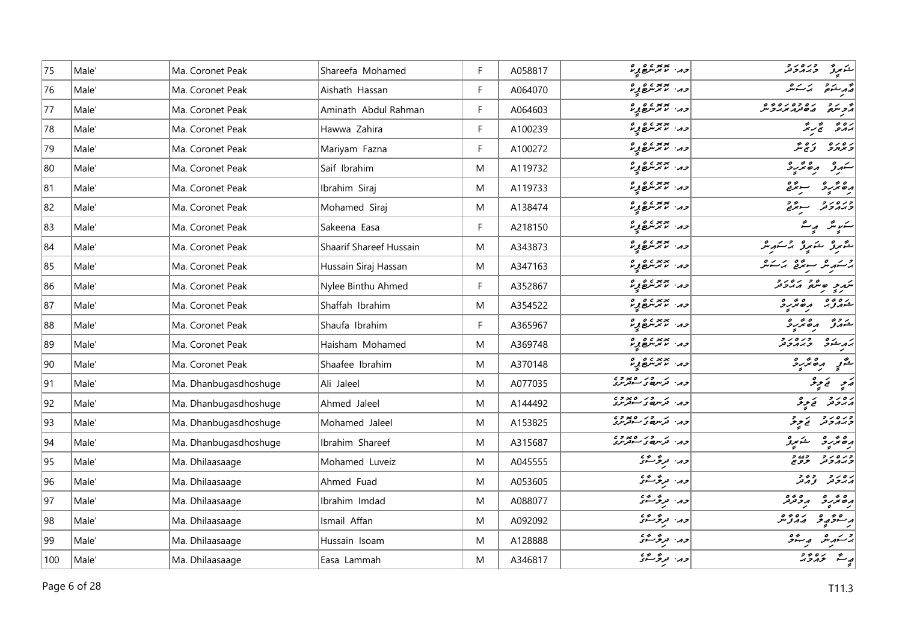| 75  | Male' | Ma. Coronet Peak      | Shareefa Mohamed        | F           | A058817 | בני עמפים ם                                     | و رە ر د<br><i>د بە</i> پەر<br> شەموق        |
|-----|-------|-----------------------|-------------------------|-------------|---------|-------------------------------------------------|----------------------------------------------|
| 76  | Male' | Ma. Coronet Peak      | Aishath Hassan          | F           | A064070 | בגי שיביש פיט                                   | گەشكە ئەسكىر                                 |
| 77  | Male' | Ma. Coronet Peak      | Aminath Abdul Rahman    | $\mathsf F$ | A064603 | בני עמשים ב                                     | ره وه ره ۶ و.<br>پره تربر تر تر تر<br>ړځ سره |
| 78  | Male' | Ma. Coronet Peak      | Hawwa Zahira            | F           | A100239 | בו יש גם 2000.<br>כו יש גיינים נ                | رە پە<br>ىتى سەتتىر                          |
| 79  | Male' | Ma. Coronet Peak      | Mariyam Fazna           | F           | A100272 | בג יש גם 2000<br>כגי ש גיינים גָ <sup>יני</sup> | ر ه بر ه<br><del>د</del> بربرگر<br>ئە ئە ئە  |
| 80  | Male' | Ma. Coronet Peak      | Saif Ibrahim            | M           | A119732 | בגי שיבשפת                                      | مەھرىر<br>سەرىۋ                              |
| 81  | Male' | Ma. Coronet Peak      | Ibrahim Siraj           | M           | A119733 | בני שיביש פי                                    | ە ھەترىرى<br>برھەترىرى<br>ر پر ج             |
| 82  | Male' | Ma. Coronet Peak      | Mohamed Siraj           | M           | A138474 | בגי שיביש פיט                                   | و ره ر د<br><i>و پر د</i> تر<br>سىدىمىتى ھ   |
| 83  | Male' | Ma. Coronet Peak      | Sakeena Easa            | F           | A218150 | בגי שיבית פיני                                  | سمبرشر پرځ                                   |
| 84  | Male' | Ma. Coronet Peak      | Shaarif Shareef Hussain | M           | A343873 | כו. עמים קט<br>כו. עמיתם קט                     | لمقبرو لمنهود الاستهرار                      |
| 85  | Male' | Ma. Coronet Peak      | Hussain Siraj Hassan    | M           | A347163 | בו יש בשפני                                     | چە سەر سىر سىر بىر ئەسەر بىر                 |
| 86  | Male' | Ma. Coronet Peak      | Nylee Binthu Ahmed      | F           | A352867 | בני עמשפת                                       | תתי פית הפני                                 |
| 87  | Male' | Ma. Coronet Peak      | Shaffah Ibrahim         | M           | A354522 | בגי שיביש פי                                    |                                              |
| 88  | Male' | Ma. Coronet Peak      | Shaufa Ibrahim          | $\mathsf F$ | A365967 | پر ، سمنده عام و ۵<br>در ۱۰ مرس                 | شمرقر مره تررد                               |
| 89  | Male' | Ma. Coronet Peak      | Haisham Mohamed         | M           | A369748 | בגי שיבית פינ                                   | ر<br>برمرشو وبرمار و                         |
| 90  | Male' | Ma. Coronet Peak      | Shaafee Ibrahim         | M           | A370148 | בגי שיביתם גם                                   | لشور رەمۇرۇ                                  |
| 91  | Male' | Ma. Dhanbugasdhoshuge | Ali Jaleel              | M           | A077035 |                                                 | أرزمي في ويحر                                |
| 92  | Male' | Ma. Dhanbugasdhoshuge | Ahmed Jaleel            | M           | A144492 |                                                 | أزورو كالمحي                                 |
| 93  | Male' | Ma. Dhanbugasdhoshuge | Mohamed Jaleel          | M           | A153825 | و د کرسره د مرد و د<br>و د کرس ه د سوتوری       | و ر ه ر د<br>تر پر تر تر<br>تع و تحر         |
| 94  | Male' | Ma. Dhanbugasdhoshuge | Ibrahim Shareef         | M           | A315687 | و د ۰ تر سره د ۲ و د د<br>و د ۰ تر سره د سوترس  | ە ھەترىر <sup>ە</sup><br>ے موثر              |
| 95  | Male' | Ma. Dhilaasaage       | Mohamed Luveiz          | M           | A045555 | ور. مرگ <sup>ور</sup> گ                         | و ر ه ر د<br>تر پر ژ تر<br>و پر و<br>مونو م  |
| 96  | Male' | Ma. Dhilaasaage       | Ahmed Fuad              | M           | A053605 | وړ٠ ترقر گړي                                    | ره رح در د<br>پررونر ق <i>ر</i> مز           |
| 97  | Male' | Ma. Dhilaasaage       | Ibrahim Imdad           | M           | A088077 | وە · تەرگەشىمى                                  | ړ ځه تر په د<br>ە قرىر<br>پە                 |
| 98  | Male' | Ma. Dhilaasaage       | Ismail Affan            | M           | A092092 | وە · تەرگەشىمى                                  | و جۇمۇ ھەرقىر                                |
| 99  | Male' | Ma. Dhilaasaage       | Hussain Isoam           | M           | A128888 | وە. <sub>مر</sub> وَّسَّیْ                      | جسكريش وبسكى                                 |
| 100 | Male' | Ma. Dhilaasaage       | Easa Lammah             | M           | A346817 | وە. <sub>مر</sub> وَّسَّیْ                      | په ده در                                     |
|     |       |                       |                         |             |         |                                                 |                                              |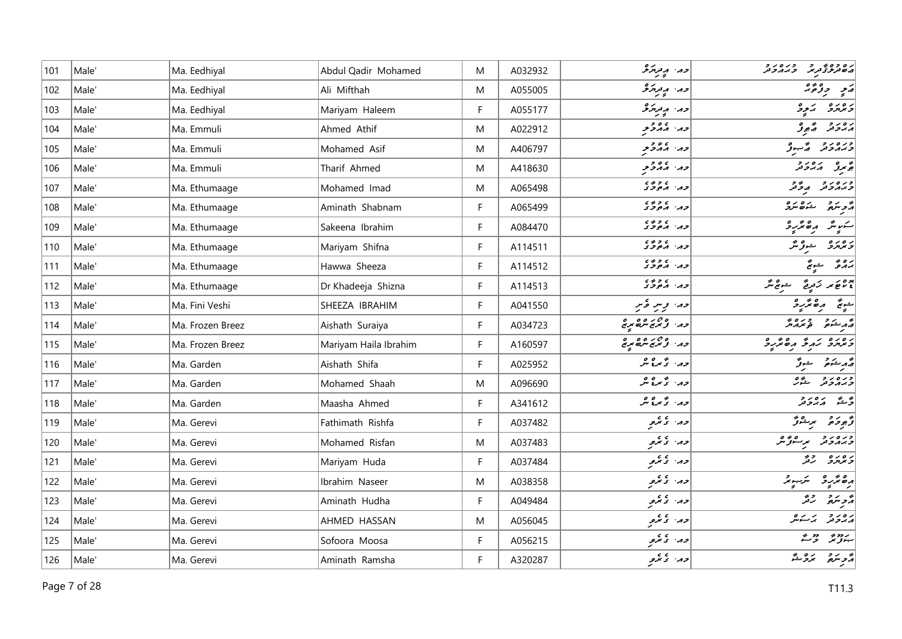| 101 | Male' | Ma. Eedhiyal     | Abdul Qadir Mohamed   | M           | A032932 | وړ٠ <sub>مو</sub> برگر               | و ره ر و<br>تر پر ژمر<br>ر ٥ و ٥ و ر و<br>پرې ترنونو ترمر |
|-----|-------|------------------|-----------------------|-------------|---------|--------------------------------------|-----------------------------------------------------------|
| 102 | Male' | Ma. Eedhiyal     | Ali Mifthah           | M           | A055005 | כו. ו <sub>ב</sub> נתצ               | أەير ووگور                                                |
| 103 | Male' | Ma. Eedhiyal     | Mariyam Haleem        | F           | A055177 |                                      | ر ہ ر ہ<br>تر <sub>مرم</sub> ر                            |
| 104 | Male' | Ma. Emmuli       | Ahmed Athif           | M           | A022912 | در. ممدوج                            | رەر دەر                                                   |
| 105 | Male' | Ma. Emmuli       | Mohamed Asif          | M           | A406797 | בו ההכת                              | ورەرو ھُبور                                               |
| 106 | Male' | Ma. Emmuli       | Tharif Ahmed          | M           | A418630 | ور. ، دو د د                         | ېج برق كړې د د د                                          |
| 107 | Male' | Ma. Ethumaage    | Mohamed Imad          | M           | A065498 | גם הפשט<br>כם הסבצ                   | כנים ניבית בית                                            |
| 108 | Male' | Ma. Ethumaage    | Aminath Shabnam       | $\mathsf F$ | A065499 | ג די די די<br>דורי ניסבצ             | شەھ سرچ<br>ە ئە ئەسكە                                     |
| 109 | Male' | Ma. Ethumaage    | Sakeena Ibrahim       | F           | A084470 | ג די די די<br>דורי ניסבצ             | سكبيش وكالخرج                                             |
| 110 | Male' | Ma. Ethumaage    | Mariyam Shifna        | F.          | A114511 | ג גי די די<br>דורי ניסבצ             | ے وشیر<br>پ<br>ر ه ر ه<br><del>و</del> بربرو              |
| 111 | Male' | Ma. Ethumaage    | Hawwa Sheeza          | F           | A114512 | ג די די<br>דורי וריפכצ               | سنويج<br>برەپچ                                            |
| 112 | Male' | Ma. Ethumaage    | Dr Khadeeja Shizna    | F           | A114513 | גור היכדי<br>המי מיפצצ               | سنومج مثر<br>× ہے بر کر مرقح<br>ج کا ج بر کر مرقع         |
| 113 | Male' | Ma. Fini Veshi   | SHEEZA IBRAHIM        | $\mathsf F$ | A041550 | وړ. وس ؤس                            | ەرھ ئ <sup>ۆ</sup> ر ۋ<br>شویج<br>ح                       |
| 114 | Male' | Ma. Frozen Breez | Aishath Suraiya       | $\mathsf F$ | A034723 |                                      | و دره وره وران<br>مگه شوی فوتمبرد در                      |
| 115 | Male' | Ma. Frozen Breez | Mariyam Haila Ibrahim | F           | A160597 | כ מי ני משימש מש<br>כ מי ני משימש מש | במתכ מתב תסמים                                            |
| 116 | Male' | Ma. Garden       | Aishath Shifa         | $\mathsf F$ | A025952 | حەر، ئەسمى ھ                         | و د کرد شورگر<br>در کار شورگر                             |
| 117 | Male' | Ma. Garden       | Mohamed Shaah         | M           | A096690 | ور. گەيدە مە                         | ورەر دەر                                                  |
| 118 | Male' | Ma. Garden       | Maasha Ahmed          | F           | A341612 | وە، ئەيرە ھ                          | وَحَدٌ الْمَارُونَزْ                                      |
| 119 | Male' | Ma. Gerevi       | Fathimath Rishfa      | F           | A037482 | حەربە ئىچ ئىجرىر                     | ژوده برشرژ                                                |
| 120 | Male' | Ma. Gerevi       | Mohamed Risfan        | M           | A037483 | احديث تحتمو                          | ورەرو برے دەر                                             |
| 121 | Male' | Ma. Gerevi       | Mariyam Huda          | $\mathsf F$ | A037484 | وړ کامگو                             | ر ہ رہ دی<br>تر پربرتر                                    |
| 122 | Male' | Ma. Gerevi       | Ibrahim Naseer        | M           | A038358 | وړ کامگو                             | ىر ھەتترىر <i>3</i><br>سكرسبونتر                          |
| 123 | Male' | Ma. Gerevi       | Aminath Hudha         | F           | A049484 | وړ کی ترو                            | أأدم المحمد المحمد                                        |
| 124 | Male' | Ma. Gerevi       | AHMED HASSAN          | M           | A056045 | —<br>  <i>حەربى</i> ئەتكەمىر         | ر ە ر د<br>م.ر <del>د</del> تر<br>برسەمىر                 |
| 125 | Male' | Ma. Gerevi       | Sofoora Moosa         | F.          | A056215 | <br> حەربە ئى تىگرىقى                | سەدىرىپىتىر<br>درمیه                                      |
| 126 | Male' | Ma. Gerevi       | Aminath Ramsha        | F           | A320287 | وړ٠ د نگو                            | أأرد المراد المركز والمحمد                                |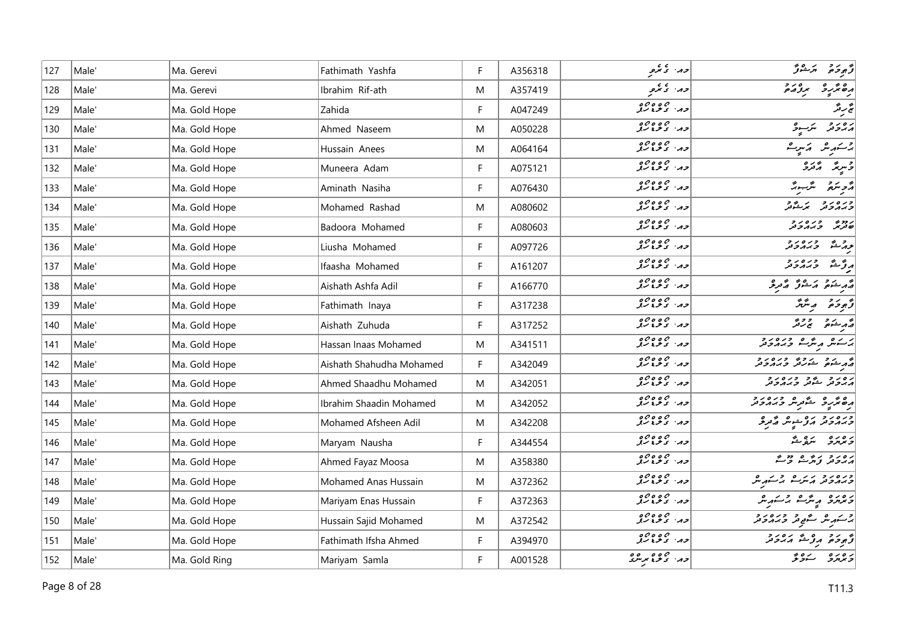| 127 | Male' | Ma. Gerevi    | Fathimath Yashfa         | F  | A356318 | وړ کو تکو                          | توجوخهم الاستوق                                  |
|-----|-------|---------------|--------------------------|----|---------|------------------------------------|--------------------------------------------------|
| 128 | Male' | Ma. Gerevi    | Ibrahim Rif-ath          | M  | A357419 | وړ کی تره                          | ە ھەترىر <sup>ە</sup><br>ە رە<br>بىرتى <i>مى</i> |
| 129 | Male' | Ma. Gold Hope | Zahida                   | F. | A047249 | 00000<br>1. 223 - بالي             | پچ س <sub>ر</sub> قتر                            |
| 130 | Male' | Ma. Gold Hope | Ahmed Naseem             | M  | A050228 | ە دەر بەرە دەرە<br>1955-يىلى       | پرور و<br>ىئرسىرى                                |
| 131 | Male' | Ma. Gold Hope | Hussain Anees            | M  | A064164 | ە ەە ئەھەم<br>1933-يىلى            | يز ڪمريش ڪي سرچ                                  |
| 132 | Male' | Ma. Gold Hope | Muneera Adam             | F  | A075121 | ە ەە بەھە<br><i>دە</i> · كەمەلەر   | د سرپر پر دره                                    |
| 133 | Male' | Ma. Gold Hope | Aminath Nasiha           | F. | A076430 | ە ەە ەەھ<br><i>دە</i> · كەمەلەر    | ړځ سره<br>سترسدير                                |
| 134 | Male' | Ma. Gold Hope | Mohamed Rashad           | M  | A080602 | ە ەە بەھە<br><i>دە</i> · كەمەلەر   | ورەرو كەشگ                                       |
| 135 | Male' | Ma. Gold Hope | Badoora Mohamed          | F  | A080603 | ם ם ם ם ם ים<br>כוזי - זה יב זה לי | ر دو پر<br>ن تر بر<br>و ره ر د<br>تر پر ژمر      |
| 136 | Male' | Ma. Gold Hope | Liusha Mohamed           | F  | A097726 | ە ەەھەم<br><i>دە</i> كەنگەنگە      | حەر ئىستىر<br>و ره ر و<br><i>د ب</i> رگرفر       |
| 137 | Male' | Ma. Gold Hope | Ifaasha Mohamed          | F. | A161207 | ە ەە ئەھەم<br>2- ئەمەلى بۇ         | و ره ر د<br>تر پر ژنر<br>ەر تۆشە                 |
| 138 | Male' | Ma. Gold Hope | Aishath Ashfa Adil       | F  | A166770 | ە ەە ئەھەم<br><i>دە</i> · ئەمەلەر  | ە ئەر ئىشى ئەھرىمى ئە                            |
| 139 | Male' | Ma. Gold Hope | Fathimath Inaya          | F. | A317238 | ە ەە بەھە<br><i>دە</i> · كەمەلەر   | و المعجزة المستركز                               |
| 140 | Male' | Ma. Gold Hope | Aishath Zuhuda           | F  | A317252 | ە ەە ەەھ<br><i>دە</i> · كەمەلەر    | ه د شود و د و د                                  |
| 141 | Male' | Ma. Gold Hope | Hassan Inaas Mohamed     | M  | A341511 | ם ם ם ם ם ים<br>כוזי - זה יב זה לי | يُرَسَوْشُ مِسْرٌ فَ وَيَرْمُ وَيَوْ             |
| 142 | Male' | Ma. Gold Hope | Aishath Shahudha Mohamed | F. | A342049 | ە ەە بەھە<br><i>دە</i> · كەمەلەر   | وأرشكم شروع ورورو                                |
| 143 | Male' | Ma. Gold Hope | Ahmed Shaadhu Mohamed    | M  | A342051 | ە ەە بەرە<br>3. ئەن ئەرى           | ره ر د په د دره ر د<br>مدرس څونر ورمړن           |
| 144 | Male' | Ma. Gold Hope | Ibrahim Shaadin Mohamed  | M  | A342052 | ە ەەھەم<br><i>دە</i> . ئەمەمەم     | رەپرىي ئەربىر دىرەرد                             |
| 145 | Male' | Ma. Gold Hope | Mohamed Afsheen Adil     | M  | A342208 | $00000$<br>$90000$                 | ورەرو روپىر كەرگ                                 |
| 146 | Male' | Ma. Gold Hope | Maryam Nausha            | F  | A344554 | ە ەە بەھە<br><i>دە</i> · كەمەلەر   | رەرە برەي                                        |
| 147 | Male' | Ma. Gold Hope | Ahmed Fayaz Moosa        | M  | A358380 | ە ەە بەھە<br><i>دە</i> · كەمەلەر   | ره رو رو ه در م                                  |
| 148 | Male' | Ma. Gold Hope | Mohamed Anas Hussain     | M  | A372362 | ە ەە <i>ەە ەە</i><br>جەنبى ئەرىپى  | ورەرو رىر قارىمىدىك                              |
| 149 | Male' | Ma. Gold Hope | Mariyam Enas Hussain     | F  | A372363 | 00000<br><i>3.0333.17</i>          | ويرمرد بهتر ويستهيش                              |
| 150 | Male' | Ma. Gold Hope | Hussain Sajid Mohamed    | M  | A372542 | ە ەە ەە ي<br>دە سىمى ئىقى          | ج کے مگر گے تو تو تر در دیا کہ ا                 |
| 151 | Male' | Ma. Gold Hope | Fathimath Ifsha Ahmed    | F. | A394970 | 00000<br>3. د نومونو کرنۍ          | وتجوخهم مروشة كالرومر                            |
| 152 | Male' | Ma. Gold Ring | Mariyam Samla            | F  | A001528 | در کوه د مور                       | رەرە سەەبۇ                                       |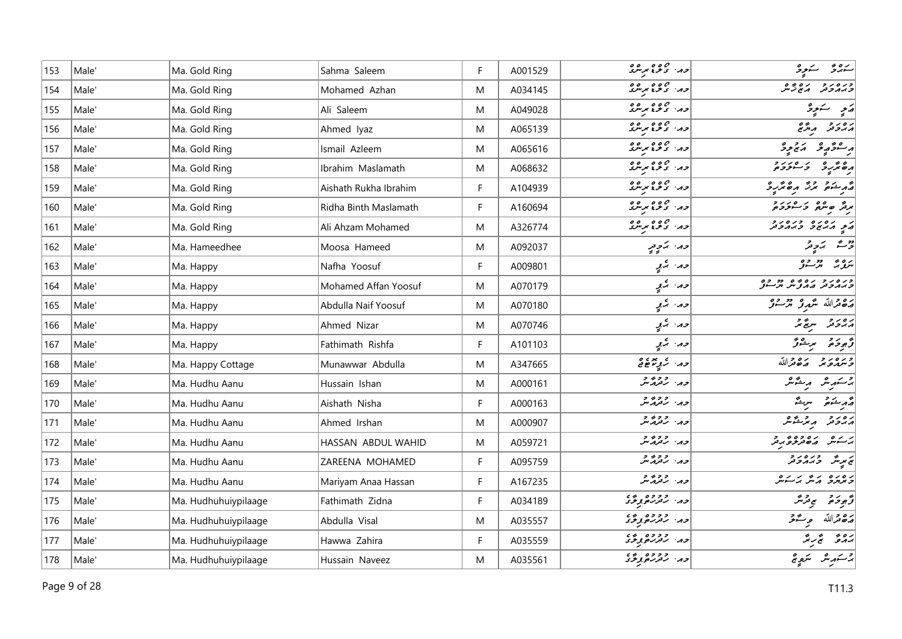| 153 | Male' | Ma. Gold Ring        | Sahma Saleem          | F  | A001529 | $rac{0}{2}$                             | ئەبۇرى<br>سەرد                                                      |
|-----|-------|----------------------|-----------------------|----|---------|-----------------------------------------|---------------------------------------------------------------------|
| 154 | Male' | Ma. Gold Ring        | Mohamed Azhan         | M  | A034145 | در کوه مرمو                             | ورەرو رەپەر                                                         |
| 155 | Male' | Ma. Gold Ring        | Ali Saleem            | M  | A049028 | $rac{1}{2}$                             | ړنې خوړه                                                            |
| 156 | Male' | Ma. Gold Ring        | Ahmed Iyaz            | M  | A065139 | $rac{1}{2}$                             | גם ג' בית ה                                                         |
| 157 | Male' | Ma. Gold Ring        | Ismail Azleem         | M  | A065616 | ەر، دىن ئەرەرە<br>دە. دىن ئەر           | ر شۇر ئەيدۇ                                                         |
| 158 | Male' | Ma. Gold Ring        | Ibrahim Maslamath     | M  | A068632 | وړ٠ کولانوروه                           | ەرھ ئ <sup>ۆ</sup> ر ۋ<br>ىر 2 مۇرى <sub>م</sub>                    |
| 159 | Male' | Ma. Gold Ring        | Aishath Rukha Ibrahim | F  | A104939 | ور کول ده<br>در کول <sub>مر</sub> س     | ړٌ د شکه پر ده پر ده ټر پر و                                        |
| 160 | Male' | Ma. Gold Ring        | Ridha Binth Maslamath | F  | A160694 | وړ٠ کولانو پر                           | برتر صره وسوده                                                      |
| 161 | Male' | Ma. Gold Ring        | Ali Ahzam Mohamed     | M  | A326774 | $rac{1}{2}$                             | ב גם גם כגם גב                                                      |
| 162 | Male' | Ma. Hameedhee        | Moosa Hameed          | M  | A092037 | –<br>احمد کے دیر                        | ژمنځ پر د پر                                                        |
| 163 | Male' | Ma. Happy            | Nafha Yoosuf          | F. | A009801 | احد کړې                                 | يرە بە جەمئىتى                                                      |
| 164 | Male' | Ma. Happy            | Mohamed Affan Yoosuf  | M  | A070179 | حەر، بۇي <sub>ى</sub>                   | כנסנכ נסגם <mark>חד כם</mark><br>ב <i>ג</i> ובבת ו <i>גוב</i> ת ת—כ |
| 165 | Male' | Ma. Happy            | Abdulla Naif Yoosuf   | M  | A070180 | حەر بەيج                                | برە داللە م <i>ىگە ۋە دە</i> د                                      |
| 166 | Male' | Ma. Happy            | Ahmed Nizar           | M  | A070746 | در. برو                                 | גפני תוצי                                                           |
| 167 | Male' | Ma. Happy            | Fathimath Rishfa      | F  | A101103 | دە. بۇر                                 | أوُّمُوحَمْ مِنْ وَ                                                 |
| 168 | Male' | Ma. Happy Cottage    | Munawwar Abdulla      | M  | A347665 |                                         | وبرەبر مەھىراللە                                                    |
| 169 | Male' | Ma. Hudhu Aanu       | Hussain Ishan         | M  | A000161 | כוז - קבוציה<br>כוז - גיבוג'ייק         | برسكريش برنشش                                                       |
| 170 | Male' | Ma. Hudhu Aanu       | Aishath Nisha         | F  | A000163 | כגי געגע.<br>כגי געגע                   | أقرم شوقر المرسقر                                                   |
| 171 | Male' | Ma. Hudhu Aanu       | Ahmed Irshan          | M  | A000907 | כ <i>חי הבקר</i> ית                     | رەرو مەئقىر                                                         |
| 172 | Male' | Ma. Hudhu Aanu       | HASSAN ABDUL WAHID    | M  | A059721 | وړ ووړ و                                | ر کره ده دوه د د                                                    |
| 173 | Male' | Ma. Hudhu Aanu       | ZAREENA MOHAMED       | F  | A095759 | בוגי הבגליה                             | تم پرېش د جمه د د                                                   |
| 174 | Male' | Ma. Hudhu Aanu       | Mariyam Anaa Hassan   | F  | A167235 | و در ۱۳۶۶<br>در ریوبر س                 | رەرە بەش ئەسەر                                                      |
| 175 | Male' | Ma. Hudhuhuiypilaage | Fathimath Zidna       | F  | A034189 | وړ٠ رووه ووی                            | قرموخيم بمقتر                                                       |
| 176 | Male' | Ma. Hudhuhuiypilaage | Abdulla Visal         | M  | A035557 | وړ٠ روره وه وه<br>وړ٠ رتر <i>ره</i> وتر | رەقراللە ھەممۇ                                                      |
| 177 | Male' | Ma. Hudhuhuiypilaage | Hawwa Zahira          | F. | A035559 | وړ٠ ر <sub>وبو</sub> وه وي              | برە ئەربۇ                                                           |
| 178 | Male' | Ma. Hudhuhuiypilaage | Hussain Naveez        | M  | A035561 | وړ٠ رووه وه<br>وړ٠ رتر ره وون           | برستهر ش سريدمج                                                     |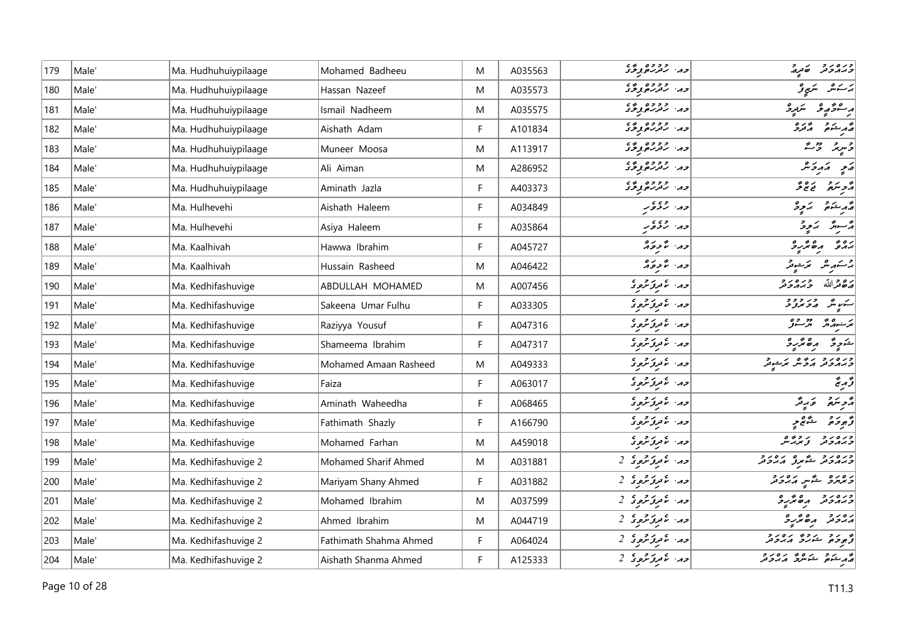| 179 | Male' | Ma. Hudhuhuiypilaage | Mohamed Badheeu        | M           | A035563 | وړ٠ رووه وي                                  | وره رو درو                                                                       |
|-----|-------|----------------------|------------------------|-------------|---------|----------------------------------------------|----------------------------------------------------------------------------------|
| 180 | Male' | Ma. Hudhuhuiypilaage | Hassan Nazeef          | M           | A035573 | وړ٠ روره ور ور<br>وړ٠ رتر <i>ره و</i> ر      | برسەيىر                                                                          |
| 181 | Male' | Ma. Hudhuhuiypilaage | Ismail Nadheem         | M           | A035575 | در ووه دو.<br>در رس                          | برڪروپو سکيږو                                                                    |
| 182 | Male' | Ma. Hudhuhuiypilaage | Aishath Adam           | F           | A101834 | وړ٠ روره ووي.<br>در٠ روره وو                 | پ <sup>و</sup> مرشوحو<br>پژ <sub>گر</sub> ه<br>د ترو                             |
| 183 | Male' | Ma. Hudhuhuiypilaage | Muneer Moosa           | M           | A113917 | وړ٠ روره ووي<br>وړ٠ رور <i>ره و</i> و        | وحر محتر<br>د<br>دسمبر                                                           |
| 184 | Male' | Ma. Hudhuhuiypilaage | Ali Aiman              | M           | A286952 | وړ٠ روره ووي<br>وړ٠ رور <i>ره و</i> و        | أړنو أمركر مر                                                                    |
| 185 | Male' | Ma. Hudhuhuiypilaage | Aminath Jazla          | F           | A403373 | وړ٠ ر <sub>وبو</sub> وه وي                   | أأوسكا فيمح                                                                      |
| 186 | Male' | Ma. Hulhevehi        | Aishath Haleem         | $\mathsf F$ | A034849 | وړ ژندوب                                     | و د شوه کرده<br>م                                                                |
| 187 | Male' | Ma. Hulhevehi        | Asiya Haleem           | F           | A035864 | دړ٠ رنگور                                    | ومسترد المتجار                                                                   |
| 188 | Male' | Ma. Kaalhivah        | Hawwa Ibrahim          | $\mathsf F$ | A045727 | وە. ئىمز <i>ەك</i>                           |                                                                                  |
| 189 | Male' | Ma. Kaalhivah        | Hussain Rasheed        | M           | A046422 | $rac{1}{2}$                                  | رحمار مرشور                                                                      |
| 190 | Male' | Ma. Kedhifashuvige   | ABDULLAH MOHAMED       | M           | A007456 | حەر مەمرى <i>ز ترە</i> بج                    | و رە ر د<br><i>د بە</i> د تر<br>برە تراللە                                       |
| 191 | Male' | Ma. Kedhifashuvige   | Sakeena Umar Fulhu     | F           | A033305 | وړ· کامرو کرو ځ                              | سەرىق ھۆتىرو د                                                                   |
| 192 | Male' | Ma. Kedhifashuvige   | Raziyya Yousuf         | $\mathsf F$ | A047316 | وړ· م <sup>ن</sup> ورو تر <sub>و</sub> ء     | $\begin{array}{cc} 1 & 0 & 0 \\ 0 & 2 & 0 \\ 0 & 0 & 0 \\ 0 & 0 & 0 \end{array}$ |
| 193 | Male' | Ma. Kedhifashuvige   | Shameema Ibrahim       | F           | A047317 | وړ٠ م <sup>۶</sup> مروکرو د                  | شَوِرَة رەھمەر                                                                   |
| 194 | Male' | Ma. Kedhifashuvige   | Mohamed Amaan Rasheed  | M           | A049333 | وړ٠ مامرو کر <sub>و د</sub> ي                | ورەر و رەھ كرىنوتر<br><i>وبەم</i> وتر مەھس كرىنوتر                               |
| 195 | Male' | Ma. Kedhifashuvige   | Faiza                  | F           | A063017 | وړ٠ م <sup>7</sup> مرتر مر <sub>و</sub> ځ    | وٌ مريحٌ                                                                         |
| 196 | Male' | Ma. Kedhifashuvige   | Aminath Waheedha       | F           | A068465 | وړ٠ م <sup>۶</sup> تروکر <sub>و د</sub> ي    | و څخه سره<br>ءَ ٻرِ تَرُ                                                         |
| 197 | Male' | Ma. Kedhifashuvige   | Fathimath Shazly       | F           | A166790 | وړ٠ م <sup>۶</sup> مرو کرو د                 | ۇ بور د<br>ڪُ جي محي                                                             |
| 198 | Male' | Ma. Kedhifashuvige   | Mohamed Farhan         | M           | A459018 | وړ٠ م <sup>۶</sup> مرو کرو د                 | ورەرو روماھ                                                                      |
| 199 | Male' | Ma. Kedhifashuvige 2 | Mohamed Sharif Ahmed   | M           | A031881 | ور . ئامبرتر تر <sub>و</sub> ء 2             | ورەرو ئەمرو مەدرو                                                                |
| 200 | Male' | Ma. Kedhifashuvige 2 | Mariyam Shany Ahmed    | F           | A031882 | ور . ئ <sub>ا</sub> تورتر ترو <sup>2</sup> 2 | و وره ځې ره ده                                                                   |
| 201 | Male' | Ma. Kedhifashuvige 2 | Mohamed Ibrahim        | M           | A037599 | حەر شىرى شرىرى 2-2                           | כמתכת תפתיכ                                                                      |
| 202 | Male' | Ma. Kedhifashuvige 2 | Ahmed Ibrahim          | M           | A044719 | حەر شىرى ش <i>ەر</i> ى 2-2                   | גיבנג הפיציב                                                                     |
| 203 | Male' | Ma. Kedhifashuvige 2 | Fathimath Shahma Ahmed | F           | A064024 | حەر شىرى شرىرى 2-2                           | و د د دوه ده د د                                                                 |
| 204 | Male' | Ma. Kedhifashuvige 2 | Aishath Shanma Ahmed   | F           | A125333 | <i>دە</i> ئىمبوگىرى 2-2                      | و د شکوه شکسری در در د                                                           |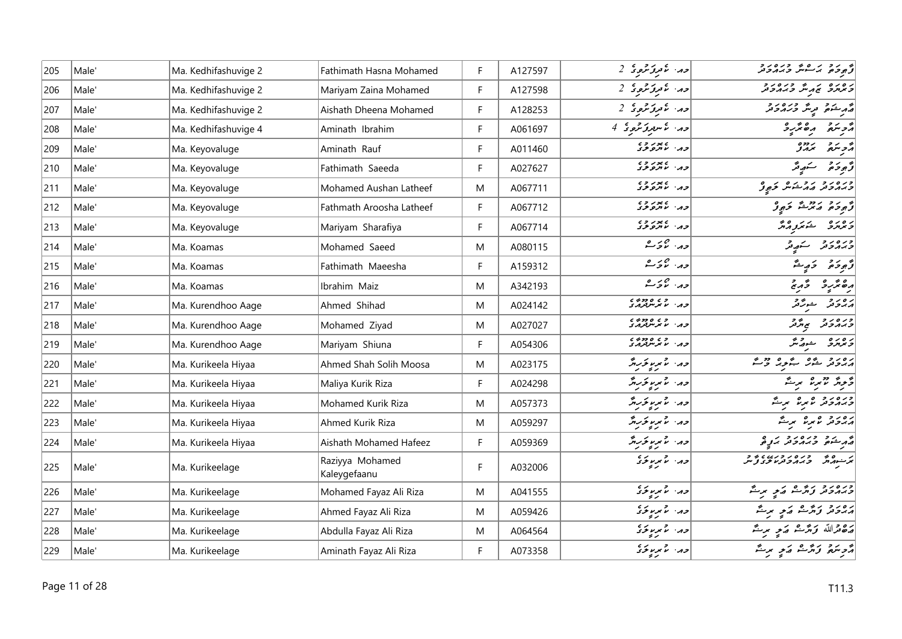| 205 | Male' | Ma. Kedhifashuvige 2 | Fathimath Hasna Mohamed         | F  | A127597 | حەر شىرى ش <i>ەرى 2</i> 2                      | و د د د عده دره د د                                      |
|-----|-------|----------------------|---------------------------------|----|---------|------------------------------------------------|----------------------------------------------------------|
| 206 | Male' | Ma. Kedhifashuvige 2 | Mariyam Zaina Mohamed           | F  | A127598 | حەر شىرى شرىرى 2-2                             | נים בן היית כנים ניב                                     |
| 207 | Male' | Ma. Kedhifashuvige 2 | Aishath Dheena Mohamed          | F  | A128253 | دە ، ئامرۇنروڭ 2                               | أحمد يشوهم وبراه والمحمد والمحمد                         |
| 208 | Male' | Ma. Kedhifashuvige 4 | Aminath Ibrahim                 | F. | A061697 | دە. ، ئاسىرى ئروڭ 4                            | ەرھ ئ <sup>ۆ</sup> ر ۋ<br>لمجمحه يتموهم                  |
| 209 | Male' | Ma. Keyovaluge       | Aminath Rauf                    | F  | A011460 | גו בי די בי<br>הריי מיתפי <i>ב</i> ב           | ر دده<br>بورو تو<br>لمجمحه يتمدهم                        |
| 210 | Male' | Ma. Keyovaluge       | Fathimath Saeeda                | F. | A027627 | גו ביני כג<br>כני מתפי <i>ב</i> ב              | أقاويرة واستهيقه                                         |
| 211 | Male' | Ma. Keyovaluge       | Mohamed Aushan Latheef          | M  | A067711 |                                                | ورەر د پروژه كېږو                                        |
| 212 | Male' | Ma. Keyovaluge       | Fathmath Aroosha Latheef        | F  | A067712 | גו בי די בי<br>הריי מיתפי <i>ב</i> ב           | أزجروح وبردوع تزجور                                      |
| 213 | Male' | Ma. Keyovaluge       | Mariyam Sharafiya               | F  | A067714 | גי מידי בג<br>כף יש חיפיב ב                    | دەرە شەر دەر                                             |
| 214 | Male' | Ma. Koamas           | Mohamed Saeed                   | M  | A080115 | دە. ئادىس                                      | ورەر دېم كەر                                             |
| 215 | Male' | Ma. Koamas           | Fathimath Maeesha               | F  | A159312 | دە. ئادىس                                      | أراوحوا التحميشة                                         |
| 216 | Male' | Ma. Koamas           | Ibrahim Maiz                    | M  | A342193 | دە. ئۈچ شە                                     | أرە ئەر ئىسىمى ئىس                                       |
| 217 | Male' | Ma. Kurendhoo Aage   | Ahmed Shihad                    | M  | A024142 | כ ג - ג ה פרב ה<br>כ ג - ע ה ה הג ג            | دەر دەستىرلىر                                            |
| 218 | Male' | Ma. Kurendhoo Aage   | Mohamed Ziyad                   | M  | A027027 | כ ג - גם פרדים גם<br>כ ג - ע הבניקו <i>ת ג</i> | ورەرو پەر                                                |
| 219 | Male' | Ma. Kurendhoo Aage   | Mariyam Shiuna                  | F  | A054306 | כ ג - ג ה פרד ה ב<br>כ ג - ע ה התנה ב          | و دره شورش                                               |
| 220 | Male' | Ma. Kurikeela Hiyaa  | Ahmed Shah Solih Moosa          | M  | A023175 | دە ، ئامرىيۈرل <sup>ى</sup> ر                  | رەرد شەر شورە «م                                         |
| 221 | Male' | Ma. Kurikeela Hiyaa  | Maliya Kurik Riza               | F  | A024298 | ور، تأمر باغريدگر<br>مرد                       | أقرمز لتمرع مرتثه                                        |
| 222 | Male' | Ma. Kurikeela Hiyaa  | Mohamed Kurik Riza              | M  | A057373 | حەر، س <sup>ە</sup> بىر بىر بۇ بەر بىر         | ورەرو ەيرە برگ                                           |
| 223 | Male' | Ma. Kurikeela Hiyaa  | Ahmed Kurik Riza                | M  | A059297 | حەر، ئامرىيە ئەرىپە تە                         | ړه دو همره مرت                                           |
| 224 | Male' | Ma. Kurikeela Hiyaa  | Aishath Mohamed Hafeez          | F  | A059369 | حەر، س <sup>ە</sup> بىر بىر بۇ بەر بىر         | ه مشو وره د و بروه                                       |
| 225 | Male' | Ma. Kurikeelage      | Raziyya Mohamed<br>Kaleygefaanu | F  | A032006 | دە. بۇي <sub>رىيۈ</sub> دى                     | ر - ۵ - در ۵ در درن در د<br>بر - در از در در در در در در |
| 226 | Male' | Ma. Kurikeelage      | Mohamed Fayaz Ali Riza          | M  | A041555 | دە. بۇ برېدىنى                                 | ورەرو روش كەي برگ                                        |
| 227 | Male' | Ma. Kurikeelage      | Ahmed Fayaz Ali Riza            | M  | A059426 | دە. بۇيدىدى<br>                                | رەرد روم ھو برگ                                          |
| 228 | Male' | Ma. Kurikeelage      | Abdulla Fayaz Ali Riza          | M  | A064564 | دە. بۇ برېدىنى                                 | رەچەللە ئەركىشە مەر مرت                                  |
| 229 | Male' | Ma. Kurikeelage      | Aminath Fayaz Ali Riza          | F  | A073358 | دەر، ئامرىيە ئەتى                              | أقرحتم وكراء كالمح المراجح                               |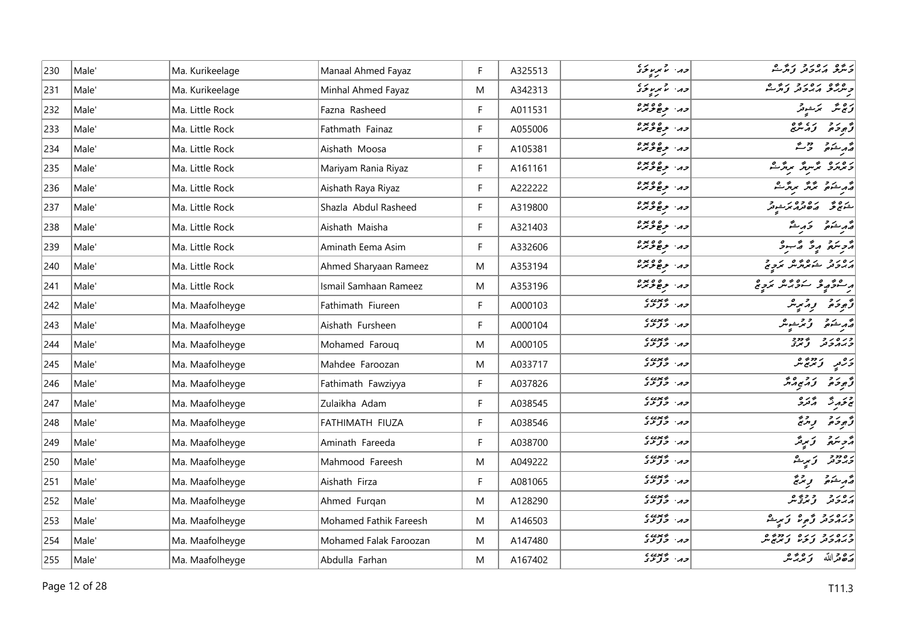| 230 | Male' | Ma. Kurikeelage | Manaal Ahmed Fayaz     | F         | A325513 | دە.، ئامرىيە ئەتى               | ر موه بره بر د بر م                              |
|-----|-------|-----------------|------------------------|-----------|---------|---------------------------------|--------------------------------------------------|
| 231 | Male' | Ma. Kurikeelage | Minhal Ahmed Fayaz     | M         | A342313 | دە. بۇيرىدى.<br>مەنبە           | ومردو برەرو بروه                                 |
| 232 | Male' | Ma. Little Rock | Fazna Rasheed          | F         | A011531 | בני תַפַּצִּמִי                 | توج مگر - ترشونگر                                |
| 233 | Male' | Ma. Little Rock | Fathmath Fainaz        | F         | A055006 | כו. כפיכים                      | ىر بر شىر<br>تو تەسىرىنى<br>ۇ ب <sub>و</sub> ر د |
| 234 | Male' | Ma. Little Rock | Aishath Moosa          | F         | A105381 | בו תפיציני                      | ړه شو ده ش                                       |
| 235 | Male' | Ma. Little Rock | Mariyam Rania Riyaz    | F         | A161161 | בו תפידות                       | כמתב מיתול מוליי                                 |
| 236 | Male' | Ma. Little Rock | Aishath Raya Riyaz     | F         | A222222 | בו תפידות                       | أور مندور مراثر مراثر م                          |
| 237 | Male' | Ma. Little Rock | Shazla Abdul Rasheed   | F         | A319800 | כו. תַשְּׁבִית י                | ره و ده ده ده د<br>شویم و که <i>ه ده بر</i> شوتر |
| 238 | Male' | Ma. Little Rock | Aishath Maisha         | F         | A321403 | בני יכש ביני                    | أأرمض وأرحد                                      |
| 239 | Male' | Ma. Little Rock | Aminath Eema Asim      | F         | A332606 | وړ٠ وگونوره                     | أأوسم أروأ أأسود                                 |
| 240 | Male' | Ma. Little Rock | Ahmed Sharyaan Rameez  | M         | A353194 | בני תַפַּלְבִינִי               | رەرد بەرەپە كەر                                  |
| 241 | Male' | Ma. Little Rock | Ismail Samhaan Rameez  | M         | A353196 | $8800$<br>$7790$                | ر جۇم بۇ سەۋرتىر ترىپى                           |
| 242 | Male' | Ma. Maafolheyge | Fathimath Fiureen      | F         | A000103 | و پر دون<br>وړ گوگوی            | ۋە ئەڭ بەر ئەي                                   |
| 243 | Male' | Ma. Maafolheyge | Aishath Fursheen       | F         | A000104 | و پر دی.<br>و در سوفر دی        | مەر ئەق ئىمى ئىسى بىر                            |
| 244 | Male' | Ma. Maafolheyge | Mohamed Farouq         | ${\sf M}$ | A000105 | و پر دی.<br>و در سوتو دی        | ور ه د د ورو<br><i>د ب</i> رمر تر تر             |
| 245 | Male' | Ma. Maafolheyge | Mahdee Faroozan        | M         | A033717 | و پر دی.<br>و در سوتو دی        | تروپه تر ترجم شر                                 |
| 246 | Male' | Ma. Maafolheyge | Fathimath Fawziyya     | F         | A037826 | و پر دی.<br>و در سوتو دی        | ל גב נגבס                                        |
| 247 | Male' | Ma. Maafolheyge | Zulaikha Adam          | F         | A038545 | و پر دی.<br>و در سوتو دی        | ایج ځرمر ش<br>پور ہ<br>مرکز                      |
| 248 | Male' | Ma. Maafolheyge | FATHIMATH FIUZA        | F         | A038546 | و پر ده ده.<br>د د کولوی        | تؤجوخوا وحرمج                                    |
| 249 | Male' | Ma. Maafolheyge | Aminath Fareeda        | F         | A038700 | و پر ده ده ده<br>و در از مونو د | أرمز<br>تى مومگر                                 |
| 250 | Male' | Ma. Maafolheyge | Mahmood Fareesh        | M         | A049222 | و پر ده ده<br>و در به توگوی     | رەددو كەرگ                                       |
| 251 | Male' | Ma. Maafolheyge | Aishath Firza          | F         | A081065 | و پر دی.<br>و در سوفر دی        | وكرمشكم ومرتج                                    |
| 252 | Male' | Ma. Maafolheyge | Ahmed Furgan           | M         | A128290 | و پر دی.<br>و در گوری           | رەرد دىپەر                                       |
| 253 | Male' | Ma. Maafolheyge | Mohamed Fathik Fareesh | M         | A146503 | و پر دی.<br>و در گوری           | ورەرو ۋە ئېرىش                                   |
| 254 | Male' | Ma. Maafolheyge | Mohamed Falak Faroozan | M         | A147480 | و پر دون<br>وړ کوگرنۍ           | כנה ביניה נחדשה<br>במהכת ציבט צ'בה ת             |
| 255 | Male' | Ma. Maafolheyge | Abdulla Farhan         | M         | A167402 | و پر دی.<br>و در سوتو دی        | برەقراللە ئەرگە ئى                               |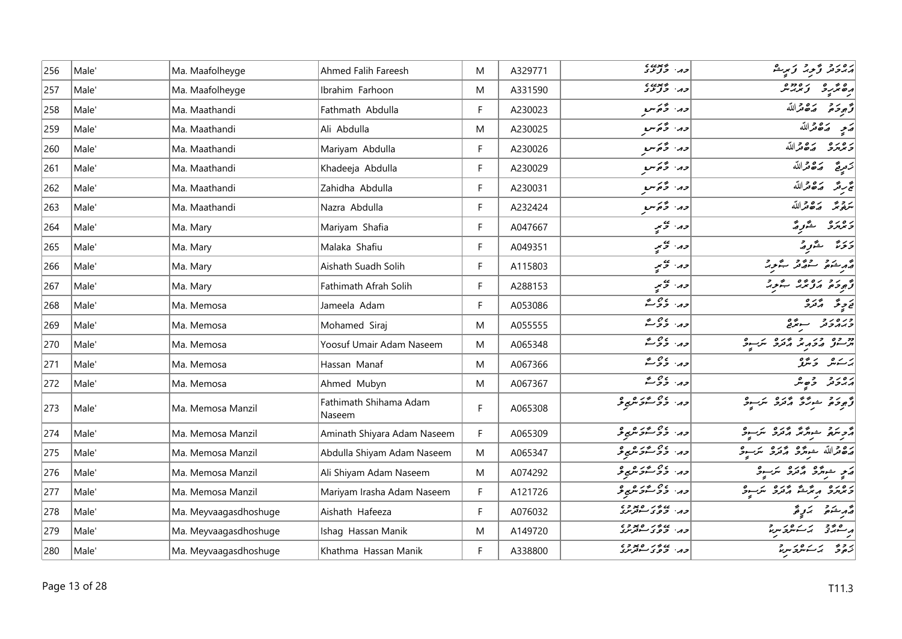| 256 | Male' | Ma. Maafolheyge       | <b>Ahmed Falih Fareesh</b>       | M           | A329771 | و پر دی.<br>و در سوفر دی              | ג 2 د تر تر تر تر تر پیش                                                                                                                                                                                                        |
|-----|-------|-----------------------|----------------------------------|-------------|---------|---------------------------------------|---------------------------------------------------------------------------------------------------------------------------------------------------------------------------------------------------------------------------------|
| 257 | Male' | Ma. Maafolheyge       | Ibrahim Farhoon                  | M           | A331590 | و پر دی.<br>و در سوفر دی              | مەھرىرە بەددە                                                                                                                                                                                                                   |
| 258 | Male' | Ma. Maathandi         | Fathmath Abdulla                 | F           | A230023 | وړ ژُه سو                             | قَهْ وَحَدَّ مَنْ هُمْ اللَّهُ                                                                                                                                                                                                  |
| 259 | Male' | Ma. Maathandi         | Ali Abdulla                      | M           | A230025 | در گ <sup>ە</sup> ر س                 | أقدمج فكافات الله                                                                                                                                                                                                               |
| 260 | Male' | Ma. Maathandi         | Mariyam Abdulla                  | F           | A230026 | دە. ئ <sup>ى</sup> مەسىر              | رەرە رەقراللە                                                                                                                                                                                                                   |
| 261 | Male' | Ma. Maathandi         | Khadeeja Abdulla                 | F           | A230029 | —<br>  <i>دە</i> ئۇمۇسى <sub>ر</sub>  | ەھەراللە<br>نزمرچٌ                                                                                                                                                                                                              |
| 262 | Male' | Ma. Maathandi         | Zahidha Abdulla                  | F           | A230031 | —<br>  <i>دە</i> ئۇمۇسىر              | يَّ بِرَتَّر مَّ صَوْرًاللَّهُ                                                                                                                                                                                                  |
| 263 | Male' | Ma. Maathandi         | Nazra Abdulla                    | F           | A232424 | أحه، خوتمبر                           | ىر جەيجە<br>سىنجە ئىش<br>ەھىراللە                                                                                                                                                                                               |
| 264 | Male' | Ma. Mary              | Mariyam Shafia                   | $\mathsf F$ | A047667 | در بھی<br>در وی                       | ر ه ر ه<br><del>ر</del> بربرگ<br>ستگورگ                                                                                                                                                                                         |
| 265 | Male' | Ma. Mary              | Malaka Shafiu                    | $\mathsf F$ | A049351 | در می<br>در و پ                       | ى ئەش<br>شگورگر                                                                                                                                                                                                                 |
| 266 | Male' | Ma. Mary              | Aishath Suadh Solih              | $\mathsf F$ | A115803 | اور پی پ                              | ړ ده ده ده د عرد                                                                                                                                                                                                                |
| 267 | Male' | Ma. Mary              | Fathimath Afrah Solih            | $\mathsf F$ | A288153 | در می<br>در و پ                       | وتجوفهم موترك بتور                                                                                                                                                                                                              |
| 268 | Male' | Ma. Memosa            | Jameela Adam                     | E           | A053086 | وړ ووگ                                | فأحرق أرترو                                                                                                                                                                                                                     |
| 269 | Male' | Ma. Memosa            | Mohamed Siraj                    | M           | A055555 | وړ ووگ                                | ورەر د<br>تەبەر تەرىخ                                                                                                                                                                                                           |
| 270 | Male' | Ma. Memosa            | Yoosuf Umair Adam Naseem         | M           | A065348 | وړ وژځ                                | ת כם כן כ זינם ותיים                                                                                                                                                                                                            |
| 271 | Male' | Ma. Memosa            | Hassan Manaf                     | M           | A067366 | وړ وگړ                                | يرَ سَنَ سَنَ الْمَرْكَزِ                                                                                                                                                                                                       |
| 272 | Male' | Ma. Memosa            | Ahmed Mubyn                      | M           | A067367 | وړ وگړ                                | رەرو وەر                                                                                                                                                                                                                        |
| 273 | Male' | Ma. Memosa Manzil     | Fathimath Shihama Adam<br>Naseem | F           | A065308 | ەر، دەمشۇشمۇ                          | و د د شوره اوره امر ده                                                                                                                                                                                                          |
| 274 | Male' | Ma. Memosa Manzil     | Aminath Shiyara Adam Naseem      | F           | A065309 | ەر بەھ گەر مەر ھې ئى                  | أو برو شهر بر ارده الرسود                                                                                                                                                                                                       |
| 275 | Male' | Ma. Memosa Manzil     | Abdulla Shiyam Adam Naseem       | M           | A065347 | ەر. د <sup>ە</sup> ر ئەر ئىرى         | رَجْعَرْاللَّهُ شِيرَّدَّ رَكْرَدَ سَرَحِيْتِ                                                                                                                                                                                   |
| 276 | Male' | Ma. Memosa Manzil     | Ali Shiyam Adam Naseem           | M           | A074292 | ە <i>مەن ئەر شىر بىرى</i> ئى          | أرو المسرار المحمدة الكراسور                                                                                                                                                                                                    |
| 277 | Male' | Ma. Memosa Manzil     | Mariyam Irasha Adam Naseem       | F           | A121726 | ەر. ب <sup>ەم يەر م</sup> ەرج         | י פידור היה היה היה היה בין היה היה היה בין היה היה בין היה בין היה בין היה בין היה בין היה בין היה בין היה בי<br>היה היה בין היה בין היה בין היה בין היה בין היה בין היה בין היה בין היה בין היה בין בין בין בין בין בין בין ב |
| 278 | Male' | Ma. Meyvaagasdhoshuge | Aishath Hafeeza                  | F           | A076032 | ده به در ه پود د<br>ده به د وی سوتوری | أمار مشكاة المسترقة                                                                                                                                                                                                             |
| 279 | Male' | Ma. Meyvaagasdhoshuge | Ishaq Hassan Manik               | M           | A149720 | ے برے رہے و ے<br>حہ سنتی تو کر سنتو س | ما شركة الاسكسرية المراجع                                                                                                                                                                                                       |
| 280 | Male' | Ma. Meyvaagasdhoshuqe | Khathma Hassan Manik             | F           | A338800 | ده به در ه پروه<br>وه کولوکو سوتوری   | زوو پر کشور در                                                                                                                                                                                                                  |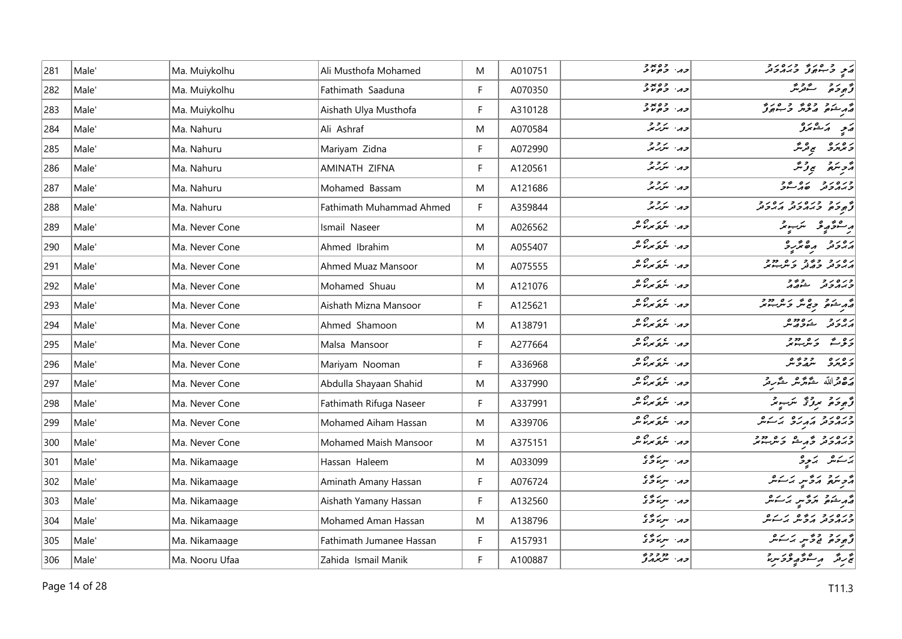| 281 | Male' | Ma. Muiykolhu  | Ali Musthofa Mohamed     | M  | A010751 | כומי כם <i>מב</i><br>כומי כם <i>מ</i> ע | أرو ومبادؤ وره دو                               |
|-----|-------|----------------|--------------------------|----|---------|-----------------------------------------|-------------------------------------------------|
| 282 | Male' | Ma. Muiykolhu  | Fathimath Saaduna        | F. | A070350 | כוי כסמי<br>כוי כי <i>פ</i> עיל         | تۇموخە كەرلىر                                   |
| 283 | Male' | Ma. Muiykolhu  | Aishath Ulya Musthofa    | F. | A310128 | כוי כסמכ<br>כוי כסטיב                   | د درو وه و ورد و                                |
| 284 | Male' | Ma. Nahuru     | Ali Ashraf               | M  | A070584 | وړ شرد و                                | أتدمج أتره بره                                  |
| 285 | Male' | Ma. Nahuru     | Mariyam Zidna            | F  | A072990 | وړ شرد پر                               | د ۱۵ ره په تر ټگ                                |
| 286 | Male' | Ma. Nahuru     | AMINATH ZIFNA            | F  | A120561 | وړ شرح و                                | أرمح سنتمر بمحتفظ                               |
| 287 | Male' | Ma. Nahuru     | Mohamed Bassam           | M  | A121686 | وړ شرچ                                  | בגםגב גם בב                                     |
| 288 | Male' | Ma. Nahuru     | Fathimath Muhammad Ahmed | F  | A359844 | وړ شرد و                                | و د د دره د د ره د د<br>ژودنو د پروتر مددتر     |
| 289 | Male' | Ma. Never Cone | Ismail Naseer            | M  | A026562 | ور. س <u>ره بر</u> مگر                  | ر مو محمد عن المراجعة                           |
| 290 | Male' | Ma. Never Cone | Ahmed Ibrahim            | M  | A055407 | ور. سي پر ماهي                          | أرور وه محمدة                                   |
| 291 | Male' | Ma. Never Cone | Ahmed Muaz Mansoor       | M  | A075555 | ور. س <u>ره بر</u> ماهر                 | ג סג כ ב כ ב ג ס בכ כ<br>ג ג כ ב ב ב ב ייצואי ב |
| 292 | Male' | Ma. Never Cone | Mohamed Shuau            | M  | A121076 | ور. سي پر ماه<br>در سي                  | وره رح دوم<br><del>و</del> برمرو مشور           |
| 293 | Male' | Ma. Never Cone | Aishath Mizna Mansoor    | F  | A125621 | در. س <u>ره پر</u> مگر                  | و د شکور د ده در در در در د                     |
| 294 | Male' | Ma. Never Cone | Ahmed Shamoon            | M  | A138791 | ور. ئىز <i>مەنگ</i> ىر                  | ره رو در ده ده<br>م.پروتر څوړه ش                |
| 295 | Male' | Ma. Never Cone | Malsa Mansoor            | F  | A277664 | در. س <u>ره بر</u> مگر                  | ىر ھەج جۇ ج<br>ىز ئەشە                          |
| 296 | Male' | Ma. Never Cone | Mariyam Nooman           | F  | A336968 | وړ· سرچمرم مر                           | ג סגם בכשים<br>בי <i>צורב יינדב</i> ית          |
| 297 | Male' | Ma. Never Cone | Abdulla Shayaan Shahid   | M  | A337990 | وړ· سرچمرم مر                           | رە داللە ھەر ئىرىدى ھەر ئىر                     |
| 298 | Male' | Ma. Never Cone | Fathimath Rifuga Naseer  | F  | A337991 | ور. سي پر مي ه                          | وتجوفا فالمروقة الكرسومر                        |
| 299 | Male' | Ma. Never Cone | Mohamed Aiham Hassan     | M  | A339706 | حەر شىم ئەرەپى                          | ورەرو رىررە برىكى                               |
| 300 | Male' | Ma. Never Cone | Mohamed Maish Mansoor    | M  | A375151 | ور. سي پر ماهي                          | ورەر د په ده دد د<br>د بربرونر وړ شو وس         |
| 301 | Male' | Ma. Nikamaage  | Hassan Haleem            | M  | A033099 | בו. ייטובל                              | زىكى ئەرە                                       |
| 302 | Male' | Ma. Nikamaage  | Aminath Amany Hassan     | F  | A076724 | בו. יימי בצ                             | أأدوسم أركاس بمكاسر                             |
| 303 | Male' | Ma. Nikamaage  | Aishath Yamany Hassan    | F  | A132560 | בו. ייטובצ                              | أقهر شوقه الروح الرائد المسكر                   |
| 304 | Male' | Ma. Nikamaage  | Mohamed Aman Hassan      | M  | A138796 | כו. ייטובצ                              | ورەر دىر دەر كەسەر                              |
| 305 | Male' | Ma. Nikamaage  | Fathimath Jumanee Hassan | F. | A157931 | כו. ייטבל                               | قهوده ووسي برسكر                                |
| 306 | Male' | Ma. Nooru Ufaa | Zahida Ismail Manik      | F  | A100887 | בני יישיבל<br>1997 יישיבל               | لمج برقد وسنوفر و مردمة                         |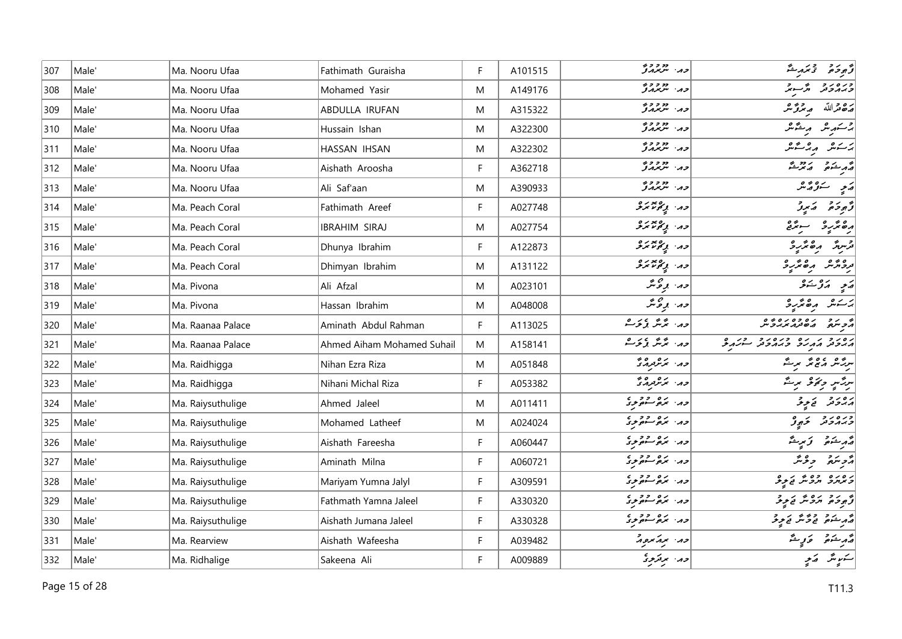| 307 | Male' | Ma. Nooru Ufaa    | Fathimath Guraisha         | F  | A101515 | בה יישיבל<br>כה יישיבה           | أزُوقو ترتمدية                                   |
|-----|-------|-------------------|----------------------------|----|---------|----------------------------------|--------------------------------------------------|
| 308 | Male' | Ma. Nooru Ufaa    | Mohamed Yasir              | M  | A149176 | בה יישיבל<br>כה יישיבה           | ورەرو ئۇسىر                                      |
| 309 | Male' | Ma. Nooru Ufaa    | ABDULLA IRUFAN             | M  | A315322 | בני יישיבל<br>1997 יישיבל        | برەقراللە برىرىزىر                               |
| 310 | Male' | Ma. Nooru Ufaa    | Hussain Ishan              | M  | A322300 | בני יישיבל<br>1997 יישיבל        | يزحكر شرائد وستكش                                |
| 311 | Male' | Ma. Nooru Ufaa    | HASSAN IHSAN               | M  | A322302 | בג יישיבל<br>כגי יישיבג          | يُسَمَّسُ إِرِيْسَ سُمَّسَ                       |
| 312 | Male' | Ma. Nooru Ufaa    | Aishath Aroosha            | F  | A362718 | בה יישיבל<br>כה יישיבה           | أمام شكافه المائير في                            |
| 313 | Male' | Ma. Nooru Ufaa    | Ali Saf'aan                | M  | A390933 | בג יישיבל<br><i>בג יישיב</i> ת צ | أەمو سىۋە ھە                                     |
| 314 | Male' | Ma. Peach Coral   | Fathimath Areef            | F  | A027748 | وړ· پ <sub>ر</sub> چيز پرې       | تواددة الأبرز                                    |
| 315 | Male' | Ma. Peach Coral   | IBRAHIM SIRAJ              | M  | A027754 | دړ٠ پر پر تر تر و                | وەترىر ئىستى                                     |
| 316 | Male' | Ma. Peach Coral   | Dhunya Ibrahim             | F. | A122873 | در ب <sub>و</sub> ره برده        | قرسرته رەغرىرد                                   |
| 317 | Male' | Ma. Peach Coral   | Dhimyan Ibrahim            | M  | A131122 | در ب <sub>وگ</sub> رمبرو         | مرو پژمر<br>برە ئۆر ۋ                            |
| 318 | Male' | Ma. Pivona        | Ali Afzal                  | M  | A023101 | دە بوۋىتر                        | أەي مۇشكۇ                                        |
| 319 | Male' | Ma. Pivona        | Hassan Ibrahim             | M  | A048008 | حەر، بوغ ئىگ                     | برے مرضور                                        |
| 320 | Male' | Ma. Raanaa Palace | Aminath Abdul Rahman       | F  | A113025 | دە.، ئۇنتر بۇ ئۇس                | د در ده ده ده ده ده.<br>مرد شي ما ما در مدير د ش |
| 321 | Male' | Ma. Raanaa Palace | Ahmed Aiham Mohamed Suhail | M  | A158141 | حەر، ئۆتىگە بۇ ئۆت               | גם גב גבר כגמביק ב-גם כ                          |
| 322 | Male' | Ma. Raidhigga     | Nihan Ezra Riza            | M  | A051848 | دړ. نرگرمرونځ                    | سرچمر کرچ تر امریک                               |
| 323 | Male' | Ma. Raidhigga     | Nihani Michal Riza         | F. | A053382 | وړ٠ نرگر <i>وړه</i> د            | أنزرتسبر وبخرقه تربثه                            |
| 324 | Male' | Ma. Raiysuthulige | Ahmed Jaleel               | M  | A011411 | وړ٠ غږ <i>و د د</i> د            | دەرو ئېچى                                        |
| 325 | Male' | Ma. Raiysuthulige | Mohamed Latheef            | M  | A024024 | وړ٠ غږ <i>و د د د</i>            | ورەرو كېږۇ                                       |
| 326 | Male' | Ma. Raiysuthulige | Aishath Fareesha           | F  | A060447 | وړ کړه وو د<br>وړ نره سونون      | وكركو وكريث                                      |
| 327 | Male' | Ma. Raiysuthulige | Aminath Milna              | F  | A060721 | وړ٠ غږ <i>و د د</i> د            | أزويتم وومثر                                     |
| 328 | Male' | Ma. Raiysuthulige | Mariyam Yumna Jalyl        | F  | A309591 | وړ کړه ده ده                     | رەرە دەپر <sub>كەن</sub> پۇ                      |
| 329 | Male' | Ma. Raiysuthulige | Fathmath Yamna Jaleel      | F  | A330320 | وړ٠ غږ <i>و د د</i> د            | توجوحه الروائر في بإيز                           |
| 330 | Male' | Ma. Raiysuthulige | Aishath Jumana Jaleel      | F  | A330328 | وړ کړه وو د<br>وړ نره سونون      | وأرجنتم فأوش فأولج                               |
| 331 | Male' | Ma. Rearview      | Aishath Wafeesha           | F. | A039482 | בו מאמשפה                        | لأرشكم أقريش                                     |
| 332 | Male' | Ma. Ridhalige     | Sakeena Ali                | F  | A009889 | وړ٠ برترور <sup>ي</sup>          | سەرپەشتە كەيپە                                   |
|     |       |                   |                            |    |         |                                  |                                                  |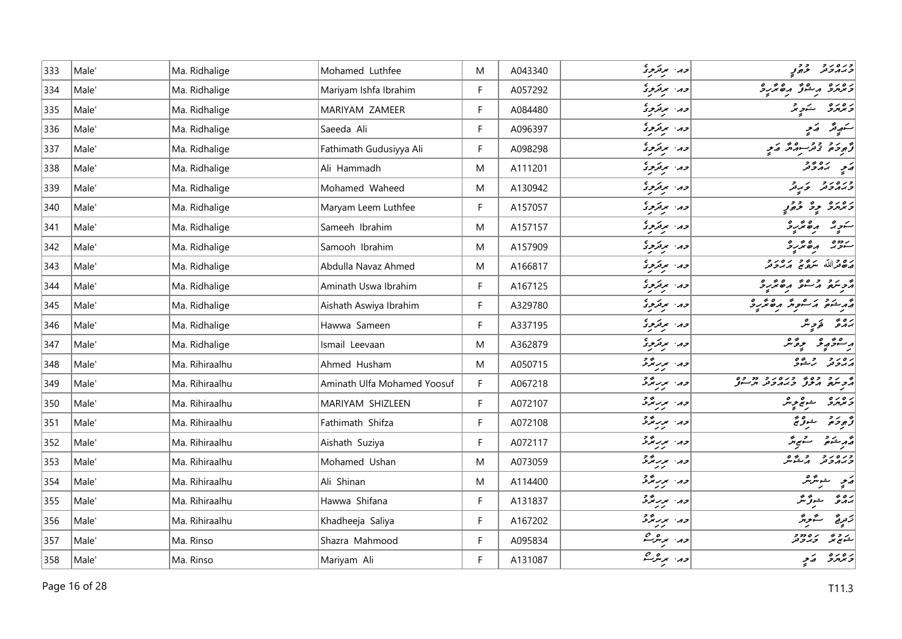| 333 | Male' | Ma. Ridhalige  | Mohamed Luthfee             | M         | A043340 | وړ٠ برترنورگا                   | ورەرو وە                                                                                                                                     |
|-----|-------|----------------|-----------------------------|-----------|---------|---------------------------------|----------------------------------------------------------------------------------------------------------------------------------------------|
| 334 | Male' | Ma. Ridhalige  | Mariyam Ishfa Ibrahim       | F         | A057292 | وړ٠ برتر <i>و</i> ءَ            | ג פתוכ תייית תייתוכ                                                                                                                          |
| 335 | Male' | Ma. Ridhalige  | MARIYAM ZAMEER              | F         | A084480 | وړ٠ برتربورگا                   | د ۱۳۶۵ مند د چر                                                                                                                              |
| 336 | Male' | Ma. Ridhalige  | Saeeda Ali                  | F         | A096397 | وړ· برترنورگا                   | سكهيقر المكمح                                                                                                                                |
| 337 | Male' | Ma. Ridhalige  | Fathimath Gudusiyya Ali     | F         | A098298 | ور برېږد؟                       | 3000 33000 000                                                                                                                               |
| 338 | Male' | Ma. Ridhalige  | Ali Hammadh                 | M         | A111201 | ورسيرترونج                      | $\begin{array}{c cc} \bullet & \bullet & \bullet & \bullet & \bullet \\ \hline \circ & \bullet & \bullet & \bullet & \bullet \\ \end{array}$ |
| 339 | Male' | Ma. Ridhalige  | Mohamed Waheed              | M         | A130942 | وړ٠ برتربورگا                   | ورەرو كەيتر                                                                                                                                  |
| 340 | Male' | Ma. Ridhalige  | Maryam Leem Luthfee         | F         | A157057 | وړ· برترنورگا                   | ويرمره يزه توجي                                                                                                                              |
| 341 | Male' | Ma. Ridhalige  | Sameeh Ibrahim              | M         | A157157 | وړ٠ برترنورگا                   | سوير رەممىرو                                                                                                                                 |
| 342 | Male' | Ma. Ridhalige  | Samooh Ibrahim              | M         | A157909 | وړ٠ برتربورگا                   | $\frac{1}{2}$<br>ەھ ئۆر ۋ                                                                                                                    |
| 343 | Male' | Ma. Ridhalige  | Abdulla Navaz Ahmed         | M         | A166817 | ور برتروی                       | رە داللە شەم مەدىر                                                                                                                           |
| 344 | Male' | Ma. Ridhalige  | Aminath Uswa Ibrahim        | F         | A167125 | ور. برېزبوت <sup>ي</sup>        | ו הוב הם היה הסתוב                                                                                                                           |
| 345 | Male' | Ma. Ridhalige  | Aishath Aswiya Ibrahim      | F         | A329780 | وړ٠ برترنورگا                   |                                                                                                                                              |
| 346 | Male' | Ma. Ridhalige  | Hawwa Sameen                | F         | A337195 | ور. برېزولو                     | برە بە ئېچىر                                                                                                                                 |
| 347 | Male' | Ma. Ridhalige  | Ismail Leevaan              | ${\sf M}$ | A362879 | ور. برتروی                      | برحثويو يوثر                                                                                                                                 |
| 348 | Male' | Ma. Rihiraalhu | Ahmed Husham                | ${\sf M}$ | A050715 | ره بررنگر                       | رەرو ويۇۋ                                                                                                                                    |
| 349 | Male' | Ma. Rihiraalhu | Aminath Ulfa Mohamed Yoosuf | F         | A067218 | در بررنگهٔ                      | ה ני כסף כנסנים ביסי<br>הקייטת היבני כמהכנת וני-נ                                                                                            |
| 350 | Male' | Ma. Rihiraalhu | MARIYAM SHIZLEEN            | F         | A072107 | دە بەر ئۇر                      | ويروو جامح ويثر                                                                                                                              |
| 351 | Male' | Ma. Rihiraalhu | Fathimath Shifza            | F         | A072108 | ره بررنگ <sup>و</sup>           | $\overbrace{z^{\prime}}^{s}$<br>ۇ بوخ <sub>ى</sub>                                                                                           |
| 352 | Male' | Ma. Rihiraalhu | Aishath Suziya              | F         | A072117 | ره بررنگ <sup>و</sup>           | وكرو يشكونه والمتعجم                                                                                                                         |
| 353 | Male' | Ma. Rihiraalhu | Mohamed Ushan               | ${\sf M}$ | A073059 | $\frac{24}{25}$                 | ورەر دېم دىگە<br><i>دىد</i> مەد مىشەر                                                                                                        |
| 354 | Male' | Ma. Rihiraalhu | Ali Shinan                  | M         | A114400 | وړ <sub>مرم</sub> رگز           | ەكىم سىرتىگىر<br>ئىسىمىتىلىكى                                                                                                                |
| 355 | Male' | Ma. Rihiraalhu | Hawwa Shifana               | F         | A131837 | وړ ، <sub>مور مور</sub> د<br>در | برەپچ<br>ىشىرۇ ئىگر                                                                                                                          |
| 356 | Male' | Ma. Rihiraalhu | Khadheeja Saliya            | F         | A167202 | وە بىرىدىگە<br>مەس              | ستوبر<br>  ترْمَدِيحٌ                                                                                                                        |
| 357 | Male' | Ma. Rinso      | Shazra Mahmood              | F         | A095834 | در. بریرم                       | ے تج تخر<br>ر ه دد د<br>تربر و تر                                                                                                            |
| 358 | Male' | Ma. Rinso      | Mariyam Ali                 | F         | A131087 | ادر. برش                        | د ه ده په کم                                                                                                                                 |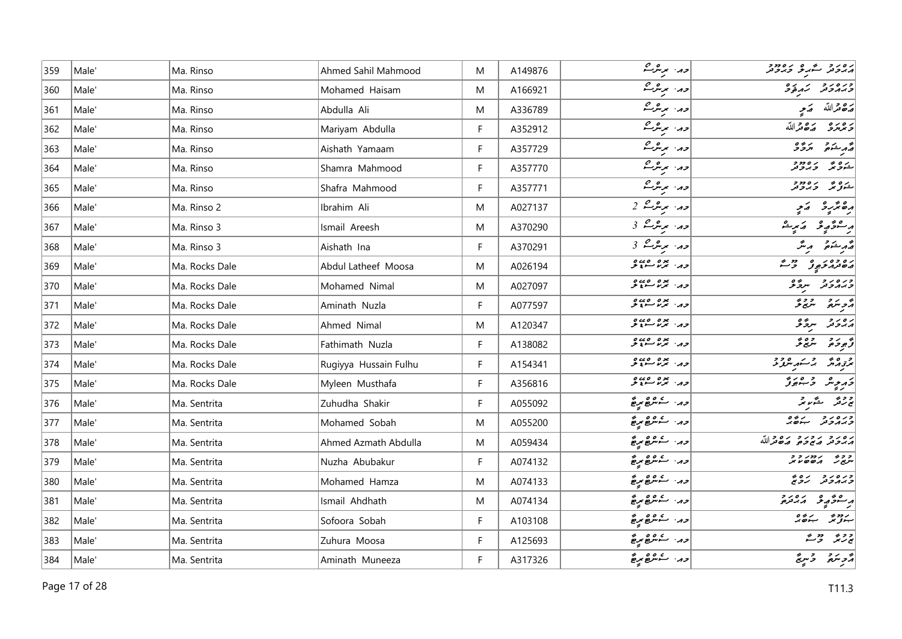| 359 | Male' | Ma. Rinso      | Ahmed Sahil Mahmood   | M           | A149876 | دړ. برېژگ                              | رەرد گرو رەھد                                 |
|-----|-------|----------------|-----------------------|-------------|---------|----------------------------------------|-----------------------------------------------|
| 360 | Male' | Ma. Rinso      | Mohamed Haisam        | M           | A166921 | ى <i>ە. بىر</i> ىرىگە                  | ورور و در دو                                  |
| 361 | Male' | Ma. Rinso      | Abdulla Ali           | M           | A336789 | دە. برىگرىگە                           | برة قرالله برَمٍ                              |
| 362 | Male' | Ma. Rinso      | Mariyam Abdulla       | F           | A352912 | وە. برى <i>گرى</i> گە                  | ومره ره والله                                 |
| 363 | Male' | Ma. Rinso      | Aishath Yamaam        | F           | A357729 | احد.<br>سيست                           | أحمد شده المروح                               |
| 364 | Male' | Ma. Rinso      | Shamra Mahmood        | F.          | A357770 | وە. برى <i>گرى</i> گە                  | ے <i>میں د</i> ہ دور<br>شور <i>بر دبرو</i> تر |
| 365 | Male' | Ma. Rinso      | Shafra Mahmood        | F           | A357771 | ادە. برىدى                             | ے میں مردود و<br>شوتی مرکز حرکز               |
| 366 | Male' | Ma. Rinso 2    | Ibrahim Ali           | M           | A027137 | $\boxed{2\ \mathcal{L}^{\rho}$ جهر مرس | رە ئۈر ئەير                                   |
| 367 | Male' | Ma. Rinso 3    | Ismail Areesh         | M           | A370290 | ور. بریژگ 3                            | وستورو كالمرت                                 |
| 368 | Male' | Ma. Rinso 3    | Aishath Ina           | F           | A370291 | وە. ئېرىگرىشكە 3                       | قەرشىق مەنتر                                  |
| 369 | Male' | Ma. Rocks Dale | Abdul Latheef Moosa   | M           | A026194 | 94098.0007                             | ره وه د به ه<br>پره تر پر څېړنې<br>وحيثه      |
| 370 | Male' | Ma. Rocks Dale | Mohamed Nimal         | M           | A027097 | 94098.0007                             | כנסגב תפי                                     |
| 371 | Male' | Ma. Rocks Dale | Aminath Nuzla         | F           | A077597 | 94098.707                              | أأترجم المراديج                               |
| 372 | Male' | Ma. Rocks Dale | Ahmed Nimal           | M           | A120347 | حەر بىرە مەي ھ                         | رەر ئەرگۈ                                     |
| 373 | Male' | Ma. Rocks Dale | Fathimath Nuzla       | F           | A138082 | پر به پره وي و.<br>پرس مرد سوء مر      | قەم ئەھمىسى ئىستى ئى                          |
| 374 | Male' | Ma. Rocks Dale | Rugiyya Hussain Fulhu | $\mathsf F$ | A154341 | بر بره وی و                            | و وه پر شهر مورد<br>مرسم بر شهر مورد          |
| 375 | Male' | Ma. Rocks Dale | Myleen Musthafa       | F.          | A356816 | حەر بىرە مەي ھ                         | أدرور ومرد                                    |
| 376 | Male' | Ma. Sentrita   | Zuhudha Shakir        | F           | A055092 |                                        | ج حرقر سقي حر                                 |
| 377 | Male' | Ma. Sentrita   | Mohamed Sobah         | M           | A055200 |                                        |                                               |
| 378 | Male' | Ma. Sentrita   | Ahmed Azmath Abdulla  | M           | A059434 | $rac{2}{5}$                            | ره رو رورو ره دالله                           |
| 379 | Male' | Ma. Sentrita   | Nuzha Abubakur        | F           | A074132 |                                        | ככל מחינים                                    |
| 380 | Male' | Ma. Sentrita   | Mohamed Hamza         | M           | A074133 | ور. ڪيريج پريج                         | ورەر دەپ<br>جەمەدىر رەپى                      |
| 381 | Male' | Ma. Sentrita   | Ismail Ahdhath        | M           | A074134 |                                        | مر شوځ پر مه تر د و                           |
| 382 | Male' | Ma. Sentrita   | Sofoora Sobah         | F.          | A103108 |                                        | بەدە بەدە                                     |
| 383 | Male' | Ma. Sentrita   | Zuhura Moosa          | F           | A125693 |                                        | ووی وژنځ                                      |
| 384 | Male' | Ma. Sentrita   | Aminath Muneeza       | F           | A317326 |                                        | أأدخر المرامج والمحسبة                        |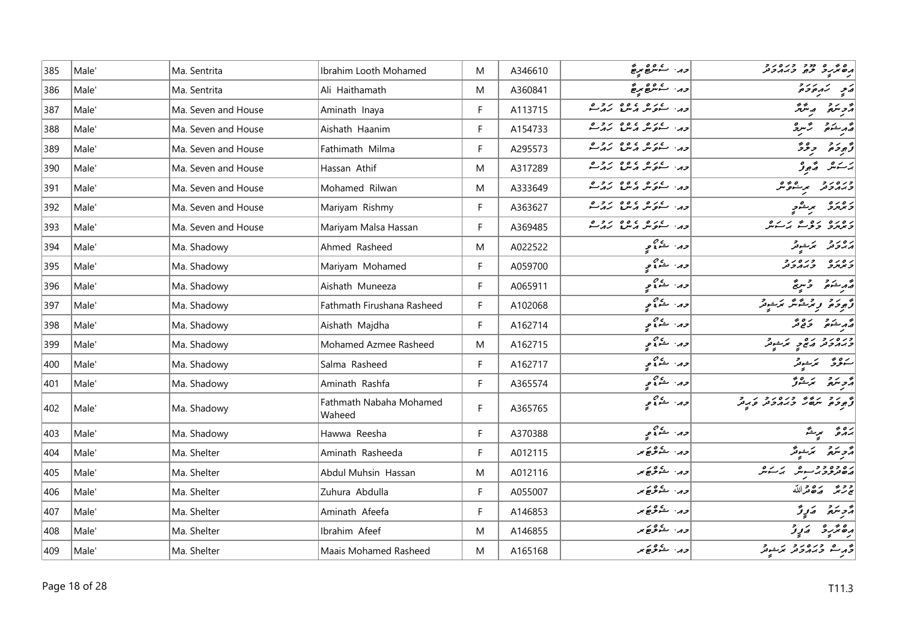| 385 | Male' | Ma. Sentrita        | Ibrahim Looth Mohamed             | M  | A346610 | ور. سەسرچىرىج                                                                                                                                                                                                                                                                                                                               | ره مهر ده در در در د                       |
|-----|-------|---------------------|-----------------------------------|----|---------|---------------------------------------------------------------------------------------------------------------------------------------------------------------------------------------------------------------------------------------------------------------------------------------------------------------------------------------------|--------------------------------------------|
| 386 | Male' | Ma. Sentrita        | Ali Haithamath                    | M  | A360841 | ور. سەمرى برقى                                                                                                                                                                                                                                                                                                                              | أوسم المرادرة                              |
| 387 | Male' | Ma. Seven and House | Aminath Inaya                     | F  | A113715 | وړ. دغویل مربوع کروره                                                                                                                                                                                                                                                                                                                       | أأزديني ويتنثر                             |
| 388 | Male' | Ma. Seven and House | Aishath Haanim                    | F  | A154733 | وړ. ده وه وه وه دوه                                                                                                                                                                                                                                                                                                                         | مەر خىم ئەر                                |
| 389 | Male' | Ma. Seven and House | Fathimath Milma                   | F. | A295573 | وړ. سوس مس کرو ه                                                                                                                                                                                                                                                                                                                            | قهوزه وفرقر                                |
| 390 | Male' | Ma. Seven and House | Hassan Athif                      | M  | A317289 | وړ. سوس مرس دره                                                                                                                                                                                                                                                                                                                             | برسەش ئەبور                                |
| 391 | Male' | Ma. Seven and House | Mohamed Rilwan                    | M  | A333649 | ور. سوس رسي درم                                                                                                                                                                                                                                                                                                                             | ىر شەھ بىر<br>و ره ر د<br><i>و پر</i> و تر |
| 392 | Male' | Ma. Seven and House | Mariyam Rishmy                    | F. | A363627 | وړ. ده وه وه وه دوه                                                                                                                                                                                                                                                                                                                         | أو بروره مرتشور                            |
| 393 | Male' | Ma. Seven and House | Mariyam Malsa Hassan              | F. | A369485 | وړ. سومبر مثل کړو ه                                                                                                                                                                                                                                                                                                                         | رەرە رەپ ئەسكىر                            |
| 394 | Male' | Ma. Shadowy         | Ahmed Rasheed                     | M  | A022522 | ور. ڪريمي                                                                                                                                                                                                                                                                                                                                   | أرەر بەيئىق                                |
| 395 | Male' | Ma. Shadowy         | Mariyam Mohamed                   | F. | A059700 | حدث سفوع ح                                                                                                                                                                                                                                                                                                                                  | נסנס כנסנכ<br>כ <i>אתכ כג</i> וכנ          |
| 396 | Male' | Ma. Shadowy         | Aishath Muneeza                   | F  | A065911 | $rac{1}{2}$                                                                                                                                                                                                                                                                                                                                 | أقهر شكوته وتسميح                          |
| 397 | Male' | Ma. Shadowy         | Fathmath Firushana Rasheed        | F  | A102068 | $rac{1}{2}$                                                                                                                                                                                                                                                                                                                                 | قهوخه وبرشاش ترجون                         |
| 398 | Male' | Ma. Shadowy         | Aishath Majdha                    | F. | A162714 | $\overline{\begin{array}{ccc} 0 & 0 & 0 \\ 0 & 0 & 0 \\ 0 & 0 & 0 \\ 0 & 0 & 0 \\ 0 & 0 & 0 \\ 0 & 0 & 0 \\ 0 & 0 & 0 \\ 0 & 0 & 0 \\ 0 & 0 & 0 \\ 0 & 0 & 0 \\ 0 & 0 & 0 \\ 0 & 0 & 0 \\ 0 & 0 & 0 \\ 0 & 0 & 0 \\ 0 & 0 & 0 & 0 \\ 0 & 0 & 0 & 0 \\ 0 & 0 & 0 & 0 \\ 0 & 0 & 0 & 0 \\ 0 & 0 & 0 & 0 \\ 0 & 0 & 0 & 0 \\ 0 & 0 & 0 & 0 \\$ | و در ده ده و د                             |
| 399 | Male' | Ma. Shadowy         | Mohamed Azmee Rasheed             | M  | A162715 | $\sqrt{2\frac{c}{\sqrt{2}}}$                                                                                                                                                                                                                                                                                                                |                                            |
| 400 | Male' | Ma. Shadowy         | Salma Rasheed                     | F. | A162717 | ور. ڪوي <sub>جي</sub>                                                                                                                                                                                                                                                                                                                       | سەبۇق ئەسىرىتى                             |
| 401 | Male' | Ma. Shadowy         | Aminath Rashfa                    | F  | A365574 | حەر. سىمكىم م                                                                                                                                                                                                                                                                                                                               | أأرجع المراشور                             |
| 402 | Male' | Ma. Shadowy         | Fathmath Nabaha Mohamed<br>Waheed | F  | A365765 | ور. ڪوءِ ۾                                                                                                                                                                                                                                                                                                                                  | و د د ده و دره د د د                       |
| 403 | Male' | Ma. Shadowy         | Hawwa Reesha                      | F  | A370388 | وړ. شوکمي                                                                                                                                                                                                                                                                                                                                   | پروڅ پرېنځ                                 |
| 404 | Male' | Ma. Shelter         | Aminath Rasheeda                  | F. | A012115 | ورست ويحامر                                                                                                                                                                                                                                                                                                                                 | أأرض متمشوقه                               |
| 405 | Male' | Ma. Shelter         | Abdul Muhsin Hassan               | M  | A012116 | ودستوقي ير                                                                                                                                                                                                                                                                                                                                  | رە دە دوسى كەسكىر                          |
| 406 | Male' | Ma. Shelter         | Zuhura Abdulla                    | F  | A055007 | ورستوثويج ير                                                                                                                                                                                                                                                                                                                                | ح حر محمد الله                             |
| 407 | Male' | Ma. Shelter         | Aminath Afeefa                    | F  | A146853 | ودستوقي ير                                                                                                                                                                                                                                                                                                                                  | أأترجم أأترقر                              |
| 408 | Male' | Ma. Shelter         | Ibrahim Afeef                     | M  | A146855 | وړ٠ څوگړي                                                                                                                                                                                                                                                                                                                                   | رەپرىد مەرز                                |
| 409 | Male' | Ma. Shelter         | Maais Mohamed Rasheed             | M  | A165168 | ود شوژیخ پر                                                                                                                                                                                                                                                                                                                                 |                                            |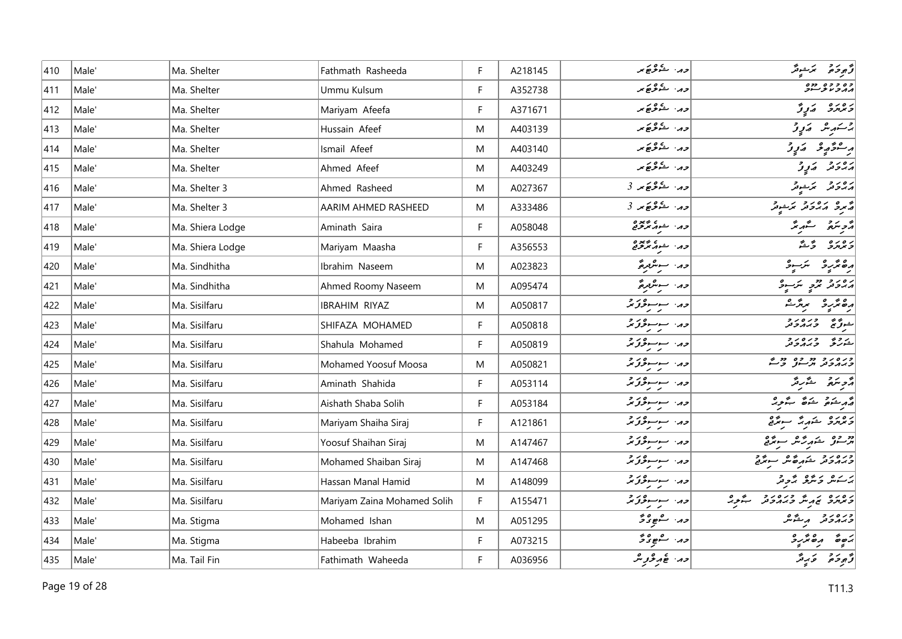| 410 | Male' | Ma. Shelter      | Fathmath Rasheeda           | F  | A218145 | ورستوقي ير                           | أؤجوخرة ستمشيقه                      |
|-----|-------|------------------|-----------------------------|----|---------|--------------------------------------|--------------------------------------|
| 411 | Male' | Ma. Shelter      | Ummu Kulsum                 | F  | A352738 | ورسي وكالمحيض                        | وه و و و وه<br><i>د د د پ</i> اسو    |
| 412 | Male' | Ma. Shelter      | Mariyam Afeefa              | F  | A371671 | ودستوقي مر                           | كالمحمد الملتج وأراد والمحمد والمحمد |
| 413 | Male' | Ma. Shelter      | Hussain Afeef               | M  | A403139 | ورس مشوكونج بر                       | برستهرش كذورة                        |
| 414 | Male' | Ma. Shelter      | Ismail Afeef                | M  | A403140 | ورست وكالمح                          | ر عوٌ په دَرِرٌ                      |
| 415 | Male' | Ma. Shelter      | Ahmed Afeef                 | M  | A403249 | ورستوثونغ مر                         | رەرو كې دۇ                           |
| 416 | Male' | Ma. Shelter 3    | Ahmed Rasheed               | M  | A027367 | ور. شوگھ مر 3                        | رەرو كەشەر                           |
| 417 | Male' | Ma. Shelter 3    | AARIM AHMED RASHEED         | M  | A333486 | ور. شوگھ مر 3                        | وحمرة أوردة أترجع                    |
| 418 | Male' | Ma. Shiera Lodge | Aminath Saira               | F  | A058048 | ود. شود بروی<br>در                   | مزجر سكريم                           |
| 419 | Male' | Ma. Shiera Lodge | Mariyam Maasha              | F  | A356553 | حەر ، سىيەتە ئەتەتە<br>مەسىر         | رەرە ئەڭ                             |
| 420 | Male' | Ma. Sindhitha    | Ibrahim Naseem              | M  | A023823 | در. سوسرورهٌ                         | رە ئرىر ئىسىر                        |
| 421 | Male' | Ma. Sindhitha    | Ahmed Roomy Naseem          | M  | A095474 | در. سوسرمر <i>ه</i><br>ر             | גפגב בב, ותו-פ                       |
| 422 | Male' | Ma. Sisilfaru    | IBRAHIM RIYAZ               | M  | A050817 | دە سەسەندى ئە                        |                                      |
| 423 | Male' | Ma. Sisilfaru    | SHIFAZA MOHAMED             | F  | A050818 | وړ، سوسونونونو<br>د                  | شوق ورەرد                            |
| 424 | Male' | Ma. Sisilfaru    | Shahula Mohamed             | F  | A050819 | وړ سوسونونونو<br>ر ر                 | شەرقى ئەرەر ئ                        |
| 425 | Male' | Ma. Sisilfaru    | Mohamed Yoosuf Moosa        | M  | A050821 | دە سەسەۋۇند<br>مەم                   | כנסגב בכ כם בכיי.<br>בגוגבת תי-ת בי- |
| 426 | Male' | Ma. Sisilfaru    | Aminath Shahida             | F  | A053114 | دە سەسەۋىرىمە<br>مەمدىكە             | ومحر سكر متكر متكر متكر              |
| 427 | Male' | Ma. Sisilfaru    | Aishath Shaba Solih         | F  | A053184 | در سوروژند<br><u>است در</u>          | وأرشكم شكا بكرو                      |
| 428 | Male' | Ma. Sisilfaru    | Mariyam Shaiha Siraj        | F. | A121861 | وړ، سوسونونونو                       | ويروكر كمورثة المسورقي               |
| 429 | Male' | Ma. Sisilfaru    | Yoosuf Shaihan Siraj        | M  | A147467 | دەر، سەسەۋە تەر<br> - بەر بەر تەرەپى | در دو شهر شهر سوره                   |
| 430 | Male' | Ma. Sisilfaru    | Mohamed Shaiban Siraj       | M  | A147468 | دړ، سوسونونونو                       | ورەرو خىرەش سېرە                     |
| 431 | Male' | Ma. Sisilfaru    | Hassan Manal Hamid          | M  | A148099 | وړ. سوسونونونو                       | يركبش وتكرفي يزويل                   |
| 432 | Male' | Ma. Sisilfaru    | Mariyam Zaina Mohamed Solih | F  | A155471 | در سوسونونوند<br> - د ر              | כמתכ התייל כמתכנת היותם              |
| 433 | Male' | Ma. Stigma       | Mohamed Ishan               | M  | A051295 | در. سگھو گھ                          | ورەرو مىشر                           |
| 434 | Male' | Ma. Stigma       | Habeeba Ibrahim             | F. | A073215 | دړ. گوڅوگه                           | $5.500$ $2.50$                       |
| 435 | Male' | Ma. Tail Fin     | Fathimath Waheeda           | F. | A036956 | در گھر گرو بر                        | قهومة وريتر                          |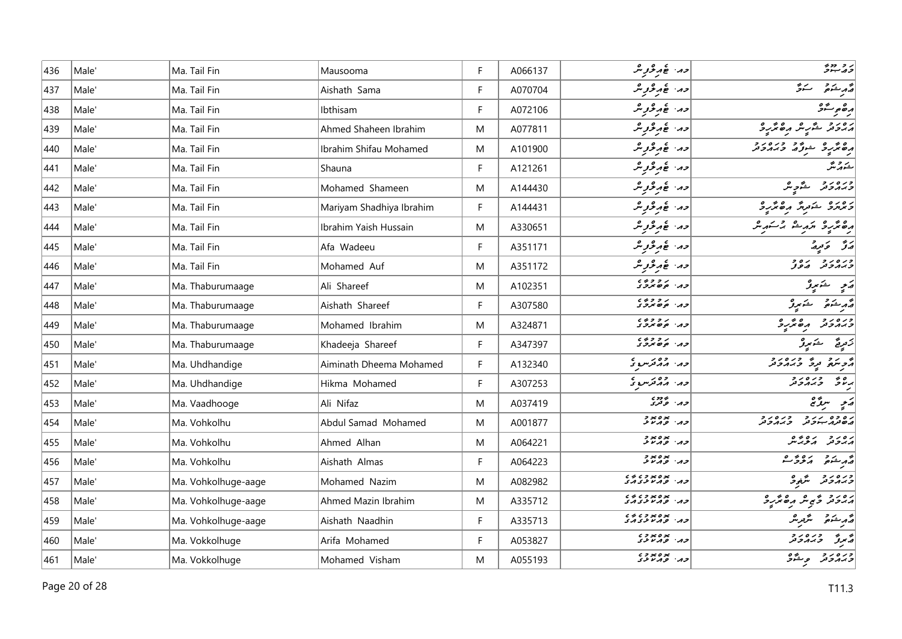| 436 | Male' | Ma. Tail Fin        | Mausooma                 | F           | A066137 | در غږورېگ                                                                           | ر د دوء                                       |
|-----|-------|---------------------|--------------------------|-------------|---------|-------------------------------------------------------------------------------------|-----------------------------------------------|
| 437 | Male' | Ma. Tail Fin        | Aishath Sama             | F           | A070704 | در. غږگورنگر                                                                        | پ <sup>و</sup> پر ځوه<br>په کر                |
| 438 | Male' | Ma. Tail Fin        | Ibthisam                 | $\mathsf F$ | A072106 | در. غږگورنگر                                                                        | وەموسىۋ                                       |
| 439 | Male' | Ma. Tail Fin        | Ahmed Shaheen Ibrahim    | M           | A077811 | در . ځېږ ژبر                                                                        | رەر ئەشتەر ھەمدىر                             |
| 440 | Male' | Ma. Tail Fin        | Ibrahim Shifau Mohamed   | M           | A101900 | در. غږمورش                                                                          | גפילקל שינה כמתכת                             |
| 441 | Male' | Ma. Tail Fin        | Shauna                   | F           | A121261 | در، غږوږمگ                                                                          | يە بەر<br>شۇرگەنتىر                           |
| 442 | Male' | Ma. Tail Fin        | Mohamed Shameen          | M           | A144430 | در. غږمور شر                                                                        | و ر ه ر و<br>تر پر ژ تر<br>ڪ <sub>و</sub> پر  |
| 443 | Male' | Ma. Tail Fin        | Mariyam Shadhiya Ibrahim | F           | A144431 | در. غږمور شر                                                                        | כתתכ בתוא תפתק                                |
| 444 | Male' | Ma. Tail Fin        | Ibrahim Yaish Hussain    | ${\sf M}$   | A330651 | در ۱۰ غاړ څرمه                                                                      | رە ئۆر ئىر ئىش ئەسكىر ئىر                     |
| 445 | Male' | Ma. Tail Fin        | Afa Wadeeu               | F           | A351171 | در غږگرو پر                                                                         | ړ تو هم                                       |
| 446 | Male' | Ma. Tail Fin        | Mohamed Auf              | M           | A351172 | حەر غېر دېمر                                                                        | כנסנכ נסכ<br><i>כג</i> וכני ו <i>הפ</i> ל     |
| 447 | Male' | Ma. Thaburumaage    | Ali Shareef              | ${\sf M}$   | A102351 | $59990 - 19$                                                                        |                                               |
| 448 | Male' | Ma. Thaburumaage    | Aishath Shareef          | $\mathsf F$ | A307580 | ג כ כ כ ב ב<br>ב ג - הם יציב צ                                                      | ۇرىشقى ئىتىرۇ                                 |
| 449 | Male' | Ma. Thaburumaage    | Mohamed Ibrahim          | ${\sf M}$   | A324871 | ג כ כ כ ב ב<br>ב ג - הם יביב ב                                                      | כנסגב השתנים                                  |
| 450 | Male' | Ma. Thaburumaage    | Khadeeja Shareef         | F           | A347397 | ג כ כ כ ב ב<br>ב ה י הם יב ב ב                                                      | كَتَرِيعٌ شَكْبِرِوْ                          |
| 451 | Male' | Ma. Uhdhandige      | Aiminath Dheema Mohamed  | F           | A132340 | وړ٠ د د ترسو ځ                                                                      | הכיתם נקב בגם גב                              |
| 452 | Male' | Ma. Uhdhandige      | Hikma Mohamed            | F           | A307253 | כו <i>י: ההבת</i> ית צ                                                              | پرنامبر<br>و ره ر د<br><i>د ب</i> رگرفر       |
| 453 | Male' | Ma. Vaadhooge       | Ali Nifaz                | M           | A037419 | و در وده<br>و در گ                                                                  | أوسمع سروجي                                   |
| 454 | Male' | Ma. Vohkolhu        | Abdul Samad Mohamed      | M           | A001877 | בני פגעיב<br><i>בני פ</i> געיב                                                      | נסכם ננכ"כנסנכ<br>גם <i>נגר ייכ</i> נג כגרכנג |
| 455 | Male' | Ma. Vohkolhu        | Ahmed Alhan              | M           | A064221 | בני יבר מבי<br>כני פגעיב                                                            | גפגל גפשים.<br>הגבה הבגיל                     |
| 456 | Male' | Ma. Vohkolhu        | Aishath Almas            | $\mathsf F$ | A064223 | ה מסמכ<br><i>ב</i> תי <i>פ</i> תעל                                                  | ړګر شوی پروو د                                |
| 457 | Male' | Ma. Vohkolhuge-aage | Mohamed Nazim            | M           | A082982 | C G C I X O X<br>S A S Y A I Q · A I                                                | ورەرو شجره                                    |
| 458 | Male' | Ma. Vohkolhuge-aage | Ahmed Mazin Ibrahim      | ${\sf M}$   | A335712 | $\begin{array}{cc} c\ast c\ast x\circ\ast \\ s\ast x\ast y\ast y\ast z\end{array}.$ | גפנג קבית תפתקיק                              |
| 459 | Male' | Ma. Vohkolhuge-aage | Aishath Naadhin          | F           | A335713 | C G C I X O X<br>S A S Y A I Q · A I                                                | ەگەرىشكى ئىگەرىگە                             |
| 460 | Male' | Ma. Vokkolhuge      | Arifa Mohamed            | F           | A053827 | בג - 20x0<br>כגי פגע ציב                                                            | ەتىرىق<br>و ره ر و<br><i>د ټ</i> رو تر        |
| 461 | Male' | Ma. Vokkolhuge      | Mohamed Visham           | ${\sf M}$   | A055193 | בני יבראיבי<br>כני יפגעיבי                                                          | وره رو دره ه                                  |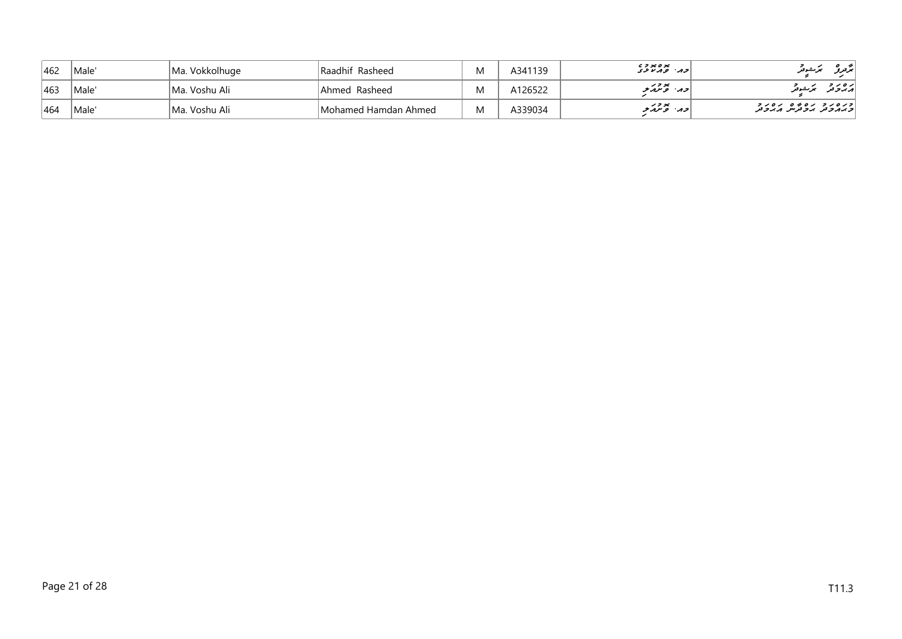| 462 | <i>Male</i> | Ma. Vokkolhuge | Raadhif Rasheed      | ΙVΙ        | A341139 | $0.900\times$<br>  وړ و مرم دی | ابمرترتر                                             |
|-----|-------------|----------------|----------------------|------------|---------|--------------------------------|------------------------------------------------------|
| 463 | Male        | Ma. Voshu Ali  | Ahmed Rasheed        | <b>IVI</b> | A126522 | ノクメ<br>  وړ و سربر پر          | پر 2 پر 5                                            |
| 464 | Male        | Ma. Voshu Ali  | Mohamed Hamdan Ahmed | <b>IVI</b> | A339034 | ノクメ<br>  وړ و سربر پر          | وره رو ره ده ره رو<br><i>وی</i> رمرحتر برحترس مهرحتر |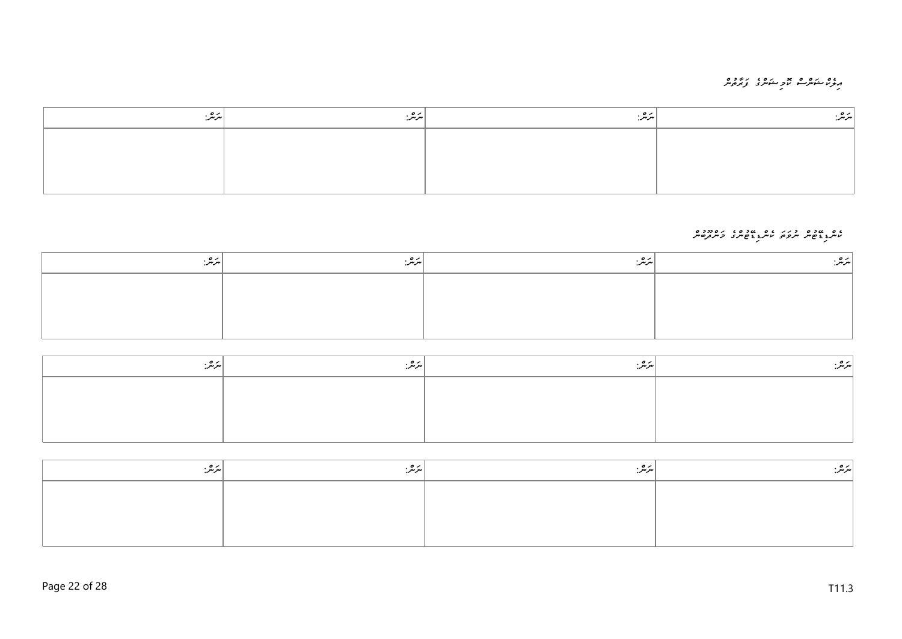## *w7qAn8m? sCw7mRo>u; wEw7mRw;sBo<*

| ' مرمر | 'يئرىثر: |
|--------|----------|
|        |          |
|        |          |
|        |          |

## *w7q9r@w7m> sCw7qHtFoFw7s; mAm=q7 w7qHtFoFw7s;*

| ىر تە | $\mathcal{O} \times$<br>$\sim$ | $\sim$<br>. . | لترنثر |
|-------|--------------------------------|---------------|--------|
|       |                                |               |        |
|       |                                |               |        |
|       |                                |               |        |

| $\frac{2}{n}$ | $\overline{\phantom{a}}$ | اير هنه. | $\mathcal{O} \times$<br>سرسر |
|---------------|--------------------------|----------|------------------------------|
|               |                          |          |                              |
|               |                          |          |                              |
|               |                          |          |                              |

| ىرتىر: | 。<br>سر سر | .,<br>مرسر |
|--------|------------|------------|
|        |            |            |
|        |            |            |
|        |            |            |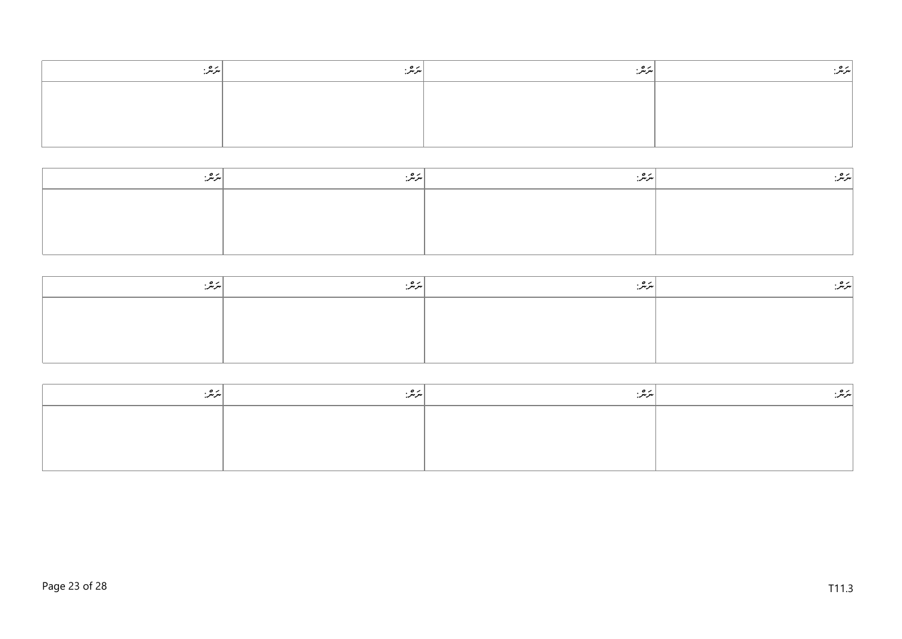| يزهر | $^{\circ}$ | ىئرىتر: |  |
|------|------------|---------|--|
|      |            |         |  |
|      |            |         |  |
|      |            |         |  |

| <sup>.</sup> سرسر. |  |
|--------------------|--|
|                    |  |
|                    |  |
|                    |  |

| ىئرىتر. | $\sim$ | ا بر هه. | لىرىش |
|---------|--------|----------|-------|
|         |        |          |       |
|         |        |          |       |
|         |        |          |       |

| يترمثر | $^{\circ}$ | ىر پىر |
|--------|------------|--------|
|        |            |        |
|        |            |        |
|        |            |        |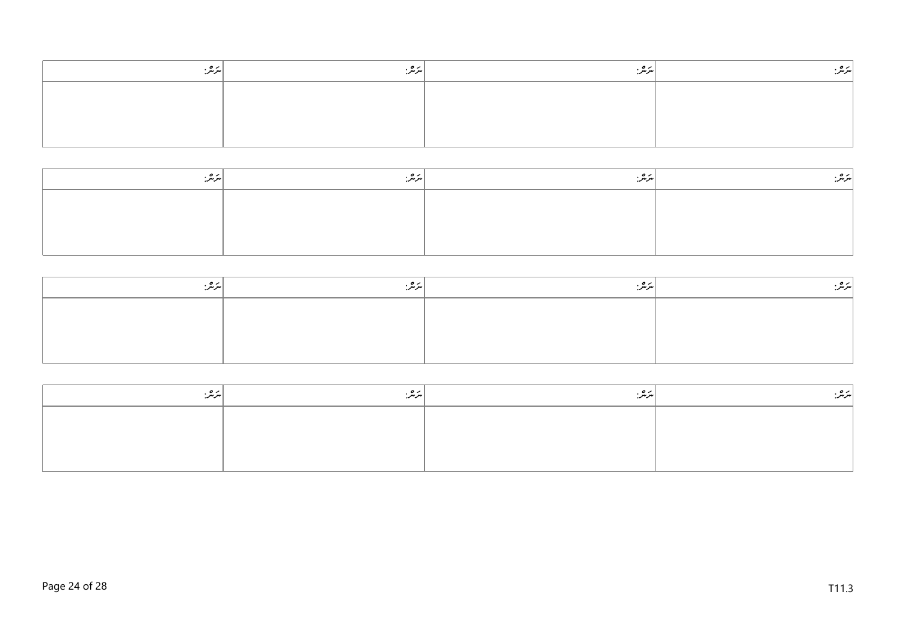| ير هو . | $\overline{\phantom{a}}$ | يرمر | اير هنه. |
|---------|--------------------------|------|----------|
|         |                          |      |          |
|         |                          |      |          |
|         |                          |      |          |

| ئىرتىر: | $\sim$<br>ا سرسر . | يئرمثر | o . |
|---------|--------------------|--------|-----|
|         |                    |        |     |
|         |                    |        |     |
|         |                    |        |     |

| 'تترنثر: | 。<br>,,,, |  |
|----------|-----------|--|
|          |           |  |
|          |           |  |
|          |           |  |

| 。 |  |  |
|---|--|--|
|   |  |  |
|   |  |  |
|   |  |  |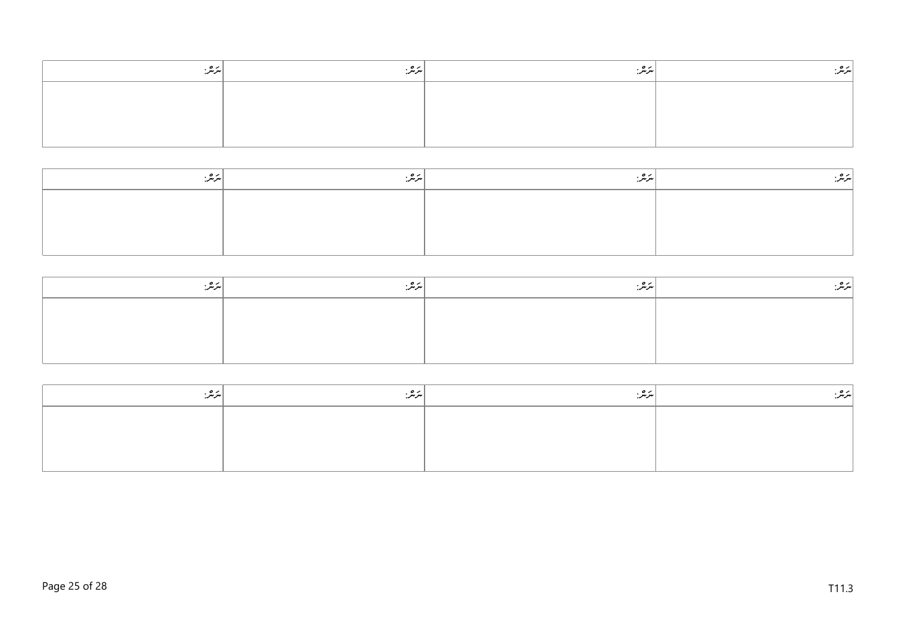| ير هو . | $\overline{\phantom{a}}$ | يرمر | اير هنه. |
|---------|--------------------------|------|----------|
|         |                          |      |          |
|         |                          |      |          |
|         |                          |      |          |

| ىئرىتى: | الترنثين | ا بر هر: | o <i>~</i><br>َ سرسر |
|---------|----------|----------|----------------------|
|         |          |          |                      |
|         |          |          |                      |
|         |          |          |                      |

| 'تترنثر: | . .<br>يسمونس. |  |
|----------|----------------|--|
|          |                |  |
|          |                |  |
|          |                |  |

|  | . ه |
|--|-----|
|  |     |
|  |     |
|  |     |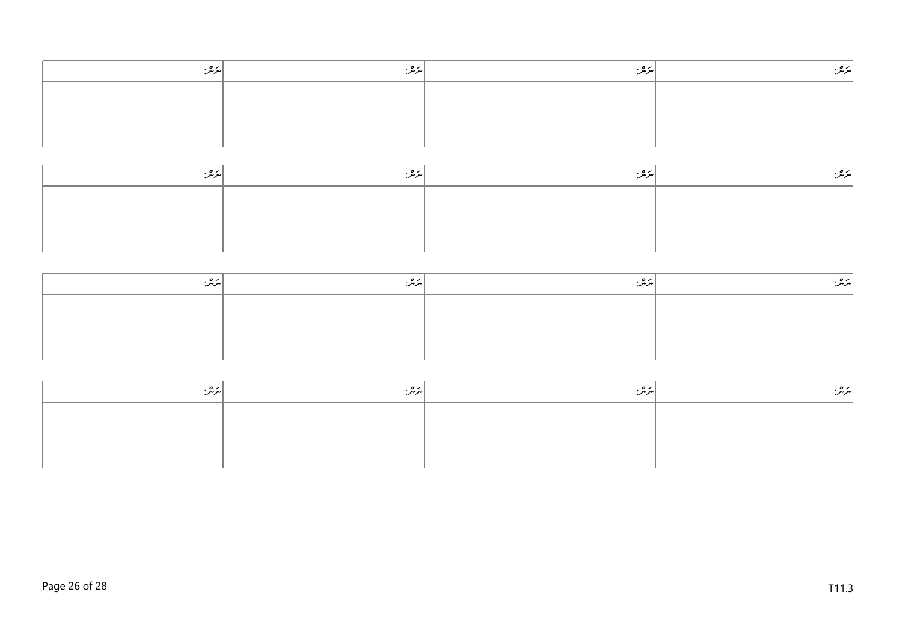| $\cdot$ | ο. | $\frac{\circ}{\cdot}$ | $\sim$<br>سرسر |
|---------|----|-----------------------|----------------|
|         |    |                       |                |
|         |    |                       |                |
|         |    |                       |                |

| يريثن | ' سرسر . |  |
|-------|----------|--|
|       |          |  |
|       |          |  |
|       |          |  |

| بر ه | 。 | $\sim$<br>َ سومس. |  |
|------|---|-------------------|--|
|      |   |                   |  |
|      |   |                   |  |
|      |   |                   |  |

| 。<br>. س | ىرىىر |  |
|----------|-------|--|
|          |       |  |
|          |       |  |
|          |       |  |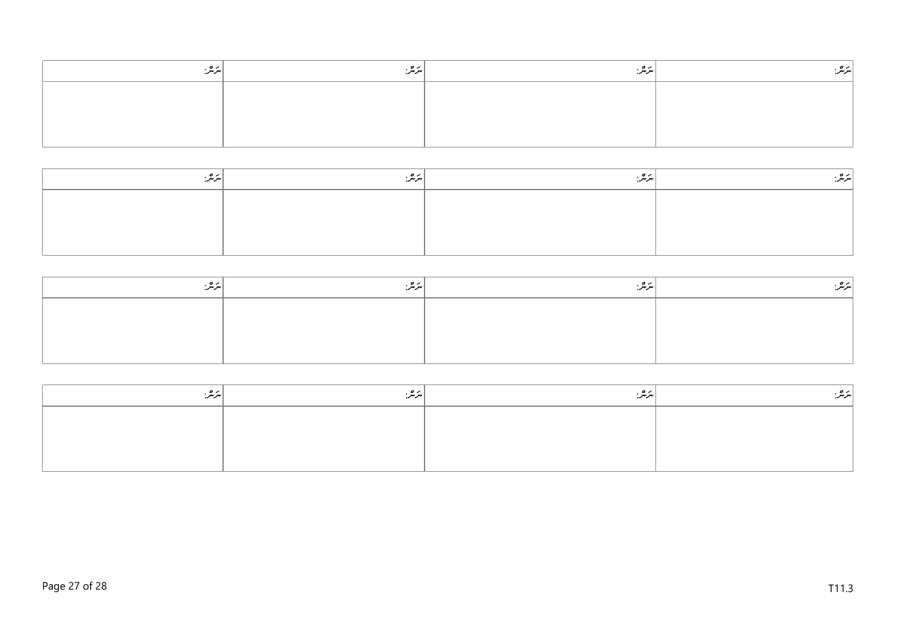| ير هو . | $\overline{\phantom{a}}$ | يرمر | لتزمثن |
|---------|--------------------------|------|--------|
|         |                          |      |        |
|         |                          |      |        |
|         |                          |      |        |

| ىئرىتى: | الترنثين | ا بر هر: | o <i>~</i><br>َ سرسر |
|---------|----------|----------|----------------------|
|         |          |          |                      |
|         |          |          |                      |
|         |          |          |                      |

| كترنثر: | 。 | 。<br>سرسر. | o <i>~</i> |
|---------|---|------------|------------|
|         |   |            |            |
|         |   |            |            |
|         |   |            |            |

|  | . ه |
|--|-----|
|  |     |
|  |     |
|  |     |